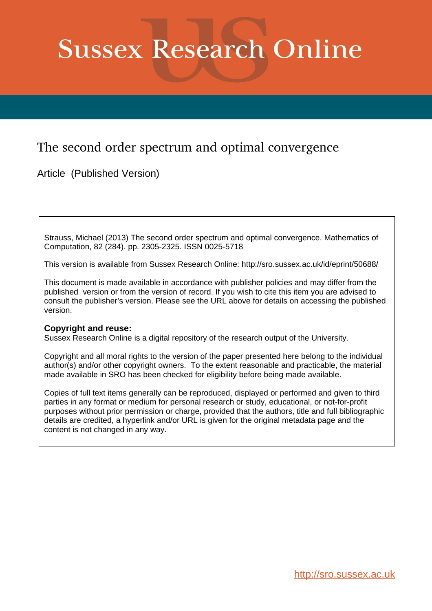# **Sussex Research Online**

# The second order spectrum and optimal convergence

Article (Published Version)

Strauss, Michael (2013) The second order spectrum and optimal convergence. Mathematics of Computation, 82 (284). pp. 2305-2325. ISSN 0025-5718

This version is available from Sussex Research Online: http://sro.sussex.ac.uk/id/eprint/50688/

This document is made available in accordance with publisher policies and may differ from the published version or from the version of record. If you wish to cite this item you are advised to consult the publisher's version. Please see the URL above for details on accessing the published version.

## **Copyright and reuse:**

Sussex Research Online is a digital repository of the research output of the University.

Copyright and all moral rights to the version of the paper presented here belong to the individual author(s) and/or other copyright owners. To the extent reasonable and practicable, the material made available in SRO has been checked for eligibility before being made available.

Copies of full text items generally can be reproduced, displayed or performed and given to third parties in any format or medium for personal research or study, educational, or not-for-profit purposes without prior permission or charge, provided that the authors, title and full bibliographic details are credited, a hyperlink and/or URL is given for the original metadata page and the content is not changed in any way.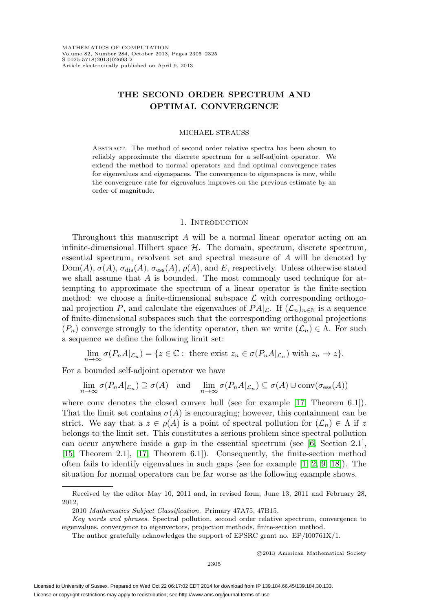### **THE SECOND ORDER SPECTRUM AND OPTIMAL CONVERGENCE**

#### MICHAEL STRAUSS

Abstract. The method of second order relative spectra has been shown to reliably approximate the discrete spectrum for a self-adjoint operator. We extend the method to normal operators and find optimal convergence rates for eigenvalues and eigenspaces. The convergence to eigenspaces is new, while the convergence rate for eigenvalues improves on the previous estimate by an order of magnitude.

#### 1. INTRODUCTION

Throughout this manuscript A will be a normal linear operator acting on an infinite-dimensional Hilbert space  $H$ . The domain, spectrum, discrete spectrum, essential spectrum, resolvent set and spectral measure of A will be denoted by  $Dom(A), \sigma(A), \sigma_{dis}(A), \sigma_{ess}(A), \rho(A),$  and E, respectively. Unless otherwise stated we shall assume that A is bounded. The most commonly used technique for attempting to approximate the spectrum of a linear operator is the finite-section method: we choose a finite-dimensional subspace  $\mathcal L$  with corresponding orthogonal projection P, and calculate the eigenvalues of  $PA|\mathcal{L}$ . If  $(\mathcal{L}_n)_{n\in\mathbb{N}}$  is a sequence of finite-dimensional subspaces such that the corresponding orthogonal projections  $(P_n)$  converge strongly to the identity operator, then we write  $(\mathcal{L}_n) \in \Lambda$ . For such a sequence we define the following limit set:

$$
\lim_{n \to \infty} \sigma(P_n A |_{\mathcal{L}_n}) = \{ z \in \mathbb{C} : \text{ there exist } z_n \in \sigma(P_n A |_{\mathcal{L}_n}) \text{ with } z_n \to z \}.
$$

For a bounded self-adjoint operator we have

$$
\lim_{n \to \infty} \sigma(P_n A |_{\mathcal{L}_n}) \supseteq \sigma(A) \quad \text{and} \quad \lim_{n \to \infty} \sigma(P_n A |_{\mathcal{L}_n}) \subseteq \sigma(A) \cup \text{conv}(\sigma_{\text{ess}}(A))
$$

where conv denotes the closed convex hull (see for example [\[17,](#page-21-0) Theorem 6.1]). That the limit set contains  $\sigma(A)$  is encouraging; however, this containment can be strict. We say that  $a \, z \in \rho(A)$  is a point of spectral pollution for  $(\mathcal{L}_n) \in \Lambda$  if z belongs to the limit set. This constitutes a serious problem since spectral pollution can occur anywhere inside a gap in the essential spectrum (see [\[6,](#page-21-1) Section 2.1], [\[15,](#page-21-2) Theorem 2.1], [\[17,](#page-21-0) Theorem 6.1]). Consequently, the finite-section method often fails to identify eigenvalues in such gaps (see for example  $[1, 2, 9, 18]$  $[1, 2, 9, 18]$  $[1, 2, 9, 18]$  $[1, 2, 9, 18]$ ). The situation for normal operators can be far worse as the following example shows.

-c 2013 American Mathematical Society

Received by the editor May 10, 2011 and, in revised form, June 13, 2011 and February 28, 2012,

<sup>2010</sup> Mathematics Subject Classification. Primary 47A75, 47B15.

Key words and phrases. Spectral pollution, second order relative spectrum, convergence to eigenvalues, convergence to eigenvectors, projection methods, finite-section method.

The author gratefully acknowledges the support of EPSRC grant no. EP/I00761X/1.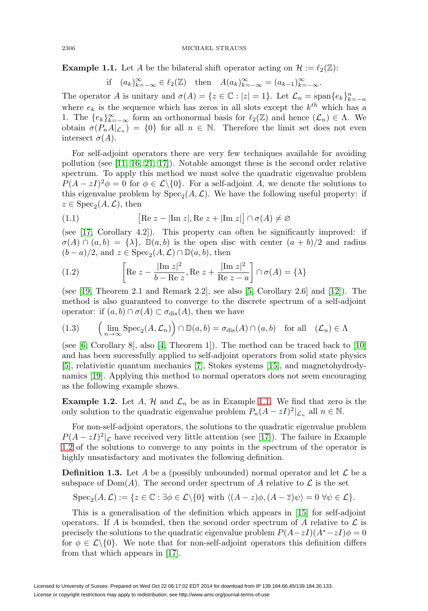<span id="page-2-0"></span>**Example 1.1.** Let A be the bilateral shift operator acting on  $\mathcal{H} := \ell_2(\mathbb{Z})$ :

if  $(a_k)_{k=-\infty}^{\infty} \in \ell_2(\mathbb{Z})$  then  $A(a_k)_{k=-\infty}^{\infty} = (a_{k-1})_{k=-\infty}^{\infty}$ .

The operator A is unitary and  $\sigma(A) = \{z \in \mathbb{C} : |z| = 1\}$ . Let  $\mathcal{L}_n = \text{span}\{e_k\}_{k=-n}^n$ where  $e_k$  is the sequence which has zeros in all slots except the  $k^{th}$  which has a 1. The  ${e_k}_{k=-\infty}^{\infty}$  form an orthonormal basis for  $\ell_2(\mathbb{Z})$  and hence  $(\mathcal{L}_n) \in \Lambda$ . We obtain  $\sigma(P_nA|_{\mathcal{L}_n}) = \{0\}$  for all  $n \in \mathbb{N}$ . Therefore the limit set does not even intersect  $\sigma(A)$ .

For self-adjoint operators there are very few techniques available for avoiding pollution (see [\[11,](#page-21-7) [16,](#page-21-8) [21,](#page-21-9) [17\]](#page-21-0)). Notable amongst these is the second order relative spectrum. To apply this method we must solve the quadratic eigenvalue problem  $P(A - zI)^2 \phi = 0$  for  $\phi \in \mathcal{L}\backslash\{0\}$ . For a self-adjoint A, we denote the solutions to this eigenvalue problem by  $Spec_2(A, \mathcal{L})$ . We have the following useful property: if  $z \in \text{Spec}_2(A, \mathcal{L}), \text{ then}$ 

<span id="page-2-4"></span>(1.1) 
$$
[\text{Re } z - |\text{Im } z|, \text{Re } z + |\text{Im } z|] \cap \sigma(A) \neq \varnothing
$$

(see [\[17,](#page-21-0) Corollary 4.2]). This property can often be significantly improved: if  $\sigma(A) \cap (a, b) = {\lambda}, \mathbb{D}(a, b)$  is the open disc with center  $(a + b)/2$  and radius  $(b-a)/2$ , and  $z \in \text{Spec}_2(A, \mathcal{L}) \cap \mathbb{D}(a, b)$ , then

<span id="page-2-3"></span>(1.2) 
$$
\left[ \text{Re } z - \frac{|\text{Im } z|^2}{b - \text{Re } z}, \text{Re } z + \frac{|\text{Im } z|^2}{\text{Re } z - a} \right] \cap \sigma(A) = \{\lambda\}
$$

(see [\[19,](#page-21-10) Theorem 2.1 and Remark 2.2], see also [\[5,](#page-21-11) Corollary 2.6] and [\[12\]](#page-21-12)). The method is also guaranteed to converge to the discrete spectrum of a self-adjoint operator: if  $(a, b) \cap \sigma(A) \subset \sigma_{\text{dis}}(A)$ , then we have

(1.3) 
$$
\left(\lim_{n\to\infty}\text{Spec}_2(A,\mathcal{L}_n)\right)\cap\mathbb{D}(a,b)=\sigma_{\text{dis}}(A)\cap(a,b) \text{ for all } (\mathcal{L}_n)\in\Lambda
$$

(see [\[6,](#page-21-1) Corollary 8], also [\[4,](#page-21-13) Theorem 1]). The method can be traced back to  $[10]$ and has been successfully applied to self-adjoint operators from solid state physics [\[5\]](#page-21-11), relativistic quantum mechanics [\[7\]](#page-21-15), Stokes systems [\[15\]](#page-21-2), and magnetohydrodynamics [\[19\]](#page-21-10). Applying this method to normal operators does not seem encouraging as the following example shows.

<span id="page-2-1"></span>**Example 1.2.** Let A, H and  $\mathcal{L}_n$  be as in Example [1.1.](#page-2-0) We find that zero is the only solution to the quadratic eigenvalue problem  $P_n(A - zI)^2|_{\mathcal{L}_n}$  all  $n \in \mathbb{N}$ .

For non-self-adjoint operators, the solutions to the quadratic eigenvalue problem  $P(A - zI)^2|_{\mathcal{L}}$  have received very little attention (see [\[17\]](#page-21-0)). The failure in Example [1.2](#page-2-1) of the solutions to converge to any points in the spectrum of the operator is highly unsatisfactory and motivates the following definition.

<span id="page-2-2"></span>**Definition 1.3.** Let A be a (possibly unbounded) normal operator and let  $\mathcal{L}$  be a subspace of  $Dom(A)$ . The second order spectrum of A relative to  $\mathcal L$  is the set

$$
\operatorname{Spec}_2(A,\mathcal{L}) := \{ z \in \mathbb{C} : \exists \phi \in \mathcal{L} \setminus \{0\} \text{ with } \langle (A-z)\phi, (A-\overline{z})\psi \rangle = 0 \ \forall \psi \in \mathcal{L} \}.
$$

This is a generalisation of the definition which appears in [\[15\]](#page-21-2) for self-adjoint operators. If A is bounded, then the second order spectrum of A relative to  $\mathcal L$  is precisely the solutions to the quadratic eigenvalue problem  $P(A-zI)(A^*-zI)\phi = 0$ for  $\phi \in \mathcal{L}\backslash\{0\}$ . We note that for non-self-adjoint operators this definition differs from that which appears in [\[17\]](#page-21-0).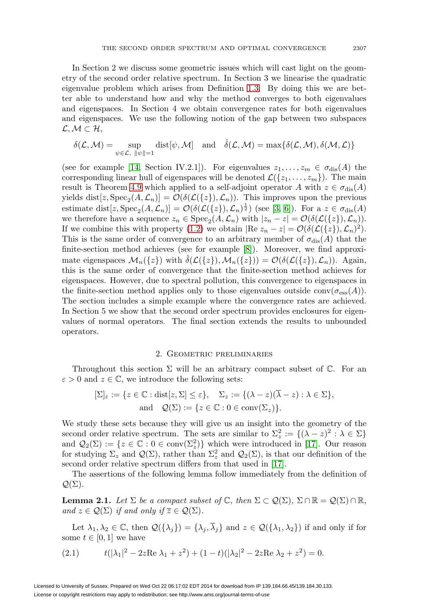In Section 2 we discuss some geometric issues which will cast light on the geometry of the second order relative spectrum. In Section 3 we linearise the quadratic eigenvalue problem which arises from Definition [1.3.](#page-2-2) By doing this we are better able to understand how and why the method converges to both eigenvalues and eigenspaces. In Section 4 we obtain convergence rates for both eigenvalues and eigenspaces. We use the following notion of the gap between two subspaces  $\mathcal{L},\mathcal{M}\subset\mathcal{H},$ 

$$
\delta(\mathcal{L},\mathcal{M})=\sup_{\psi\in\mathcal{L},\ \|\psi\|=1}\text{dist}[\psi,\mathcal{M}]\quad\text{and}\quad \hat{\delta}(\mathcal{L},\mathcal{M})=\max\{\delta(\mathcal{L},\mathcal{M}),\delta(\mathcal{M},\mathcal{L})\}
$$

(see for example [\[14,](#page-21-16) Section IV.2.1]). For eigenvalues  $z_1, \ldots, z_m \in \sigma_{\text{dis}}(A)$  the corresponding linear hull of eigenspaces will be denoted  $\mathcal{L}(\{z_1,\ldots,z_m\})$ . The main result is Theorem [4.9](#page-15-0) which applied to a self-adjoint operator A with  $z \in \sigma_{dis}(A)$ yields dist[z, Spec<sub>2</sub>(A,  $\mathcal{L}_n$ )] =  $\mathcal{O}(\delta(\mathcal{L}(\{z\}), \mathcal{L}_n))$ . This improves upon the previous estimate dist[z, Spec<sub>2</sub>(A,  $\mathcal{L}_n$ )] =  $\mathcal{O}(\delta(\mathcal{L}(\{z\}), \mathcal{L}_n)^{\frac{1}{2}})$  (see [\[3,](#page-21-17) [6\]](#page-21-1)). For a  $z \in \sigma_{\text{dis}}(A)$ we therefore have a sequence  $z_n \in \text{Spec}_2(A, \mathcal{L}_n)$  with  $|z_n - z| = \mathcal{O}(\delta(\mathcal{L}(\{z\}), \mathcal{L}_n)).$ If we combine this with property [\(1.2\)](#page-2-3) we obtain  $|\text{Re } z_n - z| = \mathcal{O}(\delta(\mathcal{L}(\{z\}), \mathcal{L}_n)^2)$ . This is the same order of convergence to an arbitrary member of  $\sigma_{dis}(A)$  that the finite-section method achieves (see for example [\[8\]](#page-21-18)). Moreover, we find approximate eigenspaces  $\mathcal{M}_n({z})$  with  $\delta(\mathcal{L}({z}),\mathcal{M}_n({z})) = \mathcal{O}(\delta(\mathcal{L}({z}),\mathcal{L}_n)).$  Again, this is the same order of convergence that the finite-section method achieves for eigenspaces. However, due to spectral pollution, this convergence to eigenspaces in the finite-section method applies only to those eigenvalues outside conv $(\sigma_{\rm ess}(A)).$ The section includes a simple example where the convergence rates are achieved. In Section 5 we show that the second order spectrum provides enclosures for eigenvalues of normal operators. The final section extends the results to unbounded operators.

#### 2. Geometric preliminaries

Throughout this section  $\Sigma$  will be an arbitrary compact subset of  $\mathbb C$ . For an  $\varepsilon > 0$  and  $z \in \mathbb{C}$ , we introduce the following sets:

$$
[\Sigma]_{\varepsilon} := \{ z \in \mathbb{C} : \text{dist}[z, \Sigma] \le \varepsilon \}, \quad \Sigma_z := \{ (\lambda - z)(\overline{\lambda} - z) : \lambda \in \Sigma \},
$$
  
and  $\mathcal{Q}(\Sigma) := \{ z \in \mathbb{C} : 0 \in \text{conv}(\Sigma_z) \}.$ 

We study these sets because they will give us an insight into the geometry of the second order relative spectrum. The sets are similar to  $\Sigma_z^2 := \{(\lambda - z)^2 : \lambda \in \Sigma\}$ and  $\mathcal{Q}_2(\Sigma) := \{z \in \mathbb{C} : 0 \in \text{conv}(\Sigma_z^2)\}\$  which were introduced in [\[17\]](#page-21-0). Our reason for studying  $\Sigma_z$  and  $\mathcal{Q}(\Sigma)$ , rather than  $\Sigma_z^2$  and  $\mathcal{Q}_2(\Sigma)$ , is that our definition of the second order relative spectrum differs from that used in [\[17\]](#page-21-0).

The assertions of the following lemma follow immediately from the definition of  $\mathcal{Q}(\Sigma)$ .

**Lemma 2.1.** Let  $\Sigma$  be a compact subset of  $\mathbb{C}$ , then  $\Sigma \subset \mathcal{Q}(\Sigma)$ ,  $\Sigma \cap \mathbb{R} = \mathcal{Q}(\Sigma) \cap \mathbb{R}$ , and  $z \in \mathcal{Q}(\Sigma)$  if and only if  $\overline{z} \in \mathcal{Q}(\Sigma)$ .

Let  $\lambda_1, \lambda_2 \in \mathbb{C}$ , then  $\mathcal{Q}(\{\lambda_j\}) = \{\lambda_j, \overline{\lambda}_j\}$  and  $z \in \mathcal{Q}(\{\lambda_1, \lambda_2\})$  if and only if for some  $t \in [0, 1]$  we have

<span id="page-3-0"></span>(2.1) 
$$
t(|\lambda_1|^2 - 2z \operatorname{Re} \lambda_1 + z^2) + (1 - t)(|\lambda_2|^2 - 2z \operatorname{Re} \lambda_2 + z^2) = 0.
$$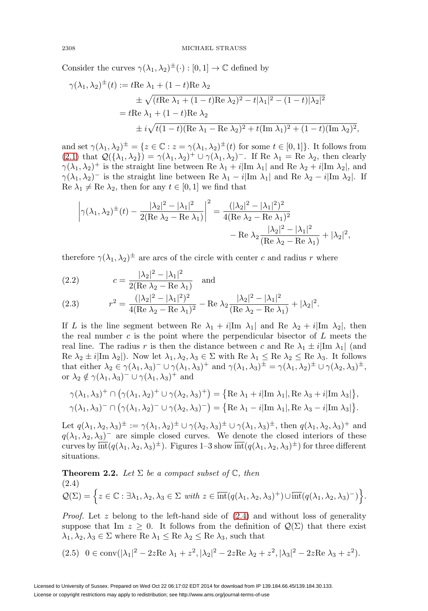Consider the curves  $\gamma(\lambda_1, \lambda_2)^{\pm}(\cdot) : [0, 1] \to \mathbb{C}$  defined by

$$
\gamma(\lambda_1, \lambda_2)^{\pm}(t) := t \text{Re } \lambda_1 + (1 - t) \text{Re } \lambda_2
$$
  
\n
$$
\pm \sqrt{(t \text{Re } \lambda_1 + (1 - t) \text{Re } \lambda_2)^2 - t |\lambda_1|^2 - (1 - t) |\lambda_2|^2}
$$
  
\n
$$
= t \text{Re } \lambda_1 + (1 - t) \text{Re } \lambda_2
$$
  
\n
$$
\pm i \sqrt{t(1 - t) (\text{Re } \lambda_1 - \text{Re } \lambda_2)^2 + t (\text{Im } \lambda_1)^2 + (1 - t) (\text{Im } \lambda_2)^2},
$$

and set  $\gamma(\lambda_1, \lambda_2)^{\pm} = \{z \in \mathbb{C} : z = \gamma(\lambda_1, \lambda_2)^{\pm}(t) \text{ for some } t \in [0, 1]\}.$  It follows from [\(2.1\)](#page-3-0) that  $\mathcal{Q}(\{\lambda_1, \lambda_2\}) = \gamma(\lambda_1, \lambda_2)^+ \cup \gamma(\lambda_1, \lambda_2)^-$ . If Re  $\lambda_1 = \overset{\sim}{\text{Re}} \lambda_2$ , then clearly  $\gamma(\lambda_1, \lambda_2)^+$  is the straight line between Re  $\lambda_1 + i|\text{Im }\lambda_1|$  and Re  $\lambda_2 + i|\text{Im }\lambda_2|$ , and  $\gamma(\lambda_1, \lambda_2)$ <sup>-</sup> is the straight line between Re  $\lambda_1 - i|\text{Im }\lambda_1|$  and Re  $\lambda_2 - i|\text{Im }\lambda_2|$ . If Re  $\lambda_1 \neq$  Re  $\lambda_2$ , then for any  $t \in [0, 1]$  we find that

$$
\left|\gamma(\lambda_1,\lambda_2)^{\pm}(t) - \frac{|\lambda_2|^2 - |\lambda_1|^2}{2(\text{Re }\lambda_2 - \text{Re }\lambda_1)}\right|^2 = \frac{(|\lambda_2|^2 - |\lambda_1|^2)^2}{4(\text{Re }\lambda_2 - \text{Re }\lambda_1)^2} - \text{Re }\lambda_2 \frac{|\lambda_2|^2 - |\lambda_1|^2}{(\text{Re }\lambda_2 - \text{Re }\lambda_1)} + |\lambda_2|^2,
$$

therefore  $\gamma(\lambda_1, \lambda_2)^{\pm}$  are arcs of the circle with center c and radius r where

<span id="page-4-2"></span>(2.2) 
$$
c = \frac{|\lambda_2|^2 - |\lambda_1|^2}{2(\text{Re }\lambda_2 - \text{Re }\lambda_1)} \text{ and}
$$

<span id="page-4-3"></span>(2.3) 
$$
r^{2} = \frac{(|\lambda_{2}|^{2} - |\lambda_{1}|^{2})^{2}}{4(\text{Re }\lambda_{2} - \text{Re }\lambda_{1})^{2}} - \text{Re }\lambda_{2} \frac{|\lambda_{2}|^{2} - |\lambda_{1}|^{2}}{(\text{Re }\lambda_{2} - \text{Re }\lambda_{1})} + |\lambda_{2}|^{2}.
$$

If L is the line segment between Re  $\lambda_1 + i|\text{Im }\lambda_1|$  and Re  $\lambda_2 + i|\text{Im }\lambda_2|$ , then the real number c is the point where the perpendicular bisector of  $L$  meets the real line. The radius r is then the distance between c and Re  $\lambda_1 \pm i|\text{Im }\lambda_1|$  (and Re  $\lambda_2 \pm i|\text{Im }\lambda_2|$ . Now let  $\lambda_1, \lambda_2, \lambda_3 \in \Sigma$  with Re  $\lambda_1 \leq \text{Re }\lambda_2 \leq \text{Re }\lambda_3$ . It follows that either  $\lambda_2 \in \gamma(\lambda_1, \lambda_3)^- \cup \gamma(\lambda_1, \lambda_3)^+$  and  $\gamma(\lambda_1, \lambda_3)^{\pm} = \gamma(\lambda_1, \lambda_2)^{\pm} \cup \gamma(\lambda_2, \lambda_3)^{\pm}$ , or  $\lambda_2 \notin \gamma(\lambda_1, \lambda_3)^- \cup \gamma(\lambda_1, \lambda_3)^+$  and

$$
\gamma(\lambda_1, \lambda_3)^+ \cap \left( \gamma(\lambda_1, \lambda_2)^+ \cup \gamma(\lambda_2, \lambda_3)^+ \right) = \left\{ \text{Re } \lambda_1 + i |\text{Im } \lambda_1|, \text{Re } \lambda_3 + i |\text{Im } \lambda_3| \right\},\
$$
  

$$
\gamma(\lambda_1, \lambda_3)^- \cap \left( \gamma(\lambda_1, \lambda_2)^- \cup \gamma(\lambda_2, \lambda_3)^- \right) = \left\{ \text{Re } \lambda_1 - i |\text{Im } \lambda_1|, \text{Re } \lambda_3 - i |\text{Im } \lambda_3| \right\}.
$$

Let  $q(\lambda_1, \lambda_2, \lambda_3)^{\pm} := \gamma(\lambda_1, \lambda_2)^{\pm} \cup \gamma(\lambda_2, \lambda_3)^{\pm} \cup \gamma(\lambda_1, \lambda_3)^{\pm}$ , then  $q(\lambda_1, \lambda_2, \lambda_3)^{\pm}$  and  $q(\lambda_1, \lambda_2, \lambda_3)$ <sup>-</sup> are simple closed curves. We denote the closed interiors of these curves by  $\overline{\text{int}}(q(\lambda_1, \lambda_2, \lambda_3)^{\pm})$ . Figures 1–3 show  $\overline{\text{int}}(q(\lambda_1, \lambda_2, \lambda_3)^{\pm})$  for three different situations.

<span id="page-4-4"></span><span id="page-4-0"></span>**Theorem 2.2.** Let 
$$
\Sigma
$$
 be a compact subset of  $\mathbb{C}$ , then  
\n(2.4)  
\n
$$
\mathcal{Q}(\Sigma) = \left\{ z \in \mathbb{C} : \exists \lambda_1, \lambda_2, \lambda_3 \in \Sigma \text{ with } z \in \overline{\text{int}}(q(\lambda_1, \lambda_2, \lambda_3)^+) \cup \overline{\text{int}}(q(\lambda_1, \lambda_2, \lambda_3)^-) \right\}.
$$

*Proof.* Let z belong to the left-hand side of  $(2.4)$  and without loss of generality suppose that Im  $z \geq 0$ . It follows from the definition of  $\mathcal{Q}(\Sigma)$  that there exist  $\lambda_1, \lambda_2, \lambda_3 \in \Sigma$  where Re  $\lambda_1 \leq$  Re  $\lambda_2 \leq$  Re  $\lambda_3$ , such that

<span id="page-4-1"></span>
$$
(2.5) \quad 0 \in \text{conv}(|\lambda_1|^2 - 2z \text{Re } \lambda_1 + z^2, |\lambda_2|^2 - 2z \text{Re } \lambda_2 + z^2, |\lambda_3|^2 - 2z \text{Re } \lambda_3 + z^2).
$$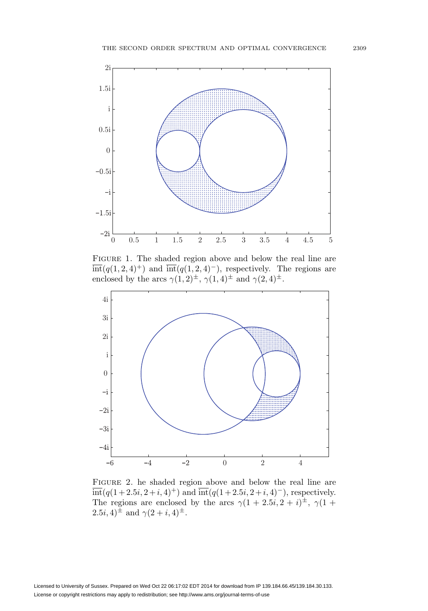

Figure 1. The shaded region above and below the real line are  $\overline{\text{int}}(q(1, 2, 4)^+)$  and  $\overline{\text{int}}(q(1, 2, 4)^-)$ , respectively. The regions are enclosed by the arcs  $\gamma(1,2)^{\pm}$ ,  $\gamma(1,4)^{\pm}$  and  $\gamma(2,4)^{\pm}$ .



Figure 2. he shaded region above and below the real line are  $\overline{\text{int}}(q(1+2.5i, 2+i, 4)^+)$  and  $\overline{\text{int}}(q(1+2.5i, 2+i, 4)^-)$ , respectively. The regions are enclosed by the arcs  $\gamma(1+2.5i, 2+i)^{\pm}$ ,  $\gamma(1+i)$  $(2.5i, 4)^{\pm}$  and  $\gamma(2+i, 4)^{\pm}$ .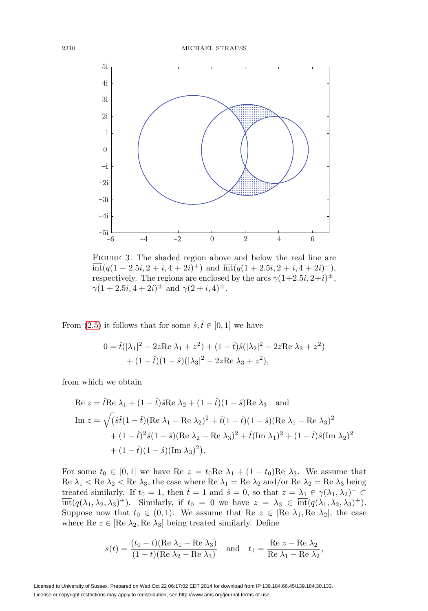

Figure 3. The shaded region above and below the real line are  $\overline{\text{int}}(q(1+2.5i, 2+i, 4+2i)^+)$  and  $\overline{\text{int}}(q(1+2.5i, 2+i, 4+2i)^-)$ , respectively. The regions are enclosed by the arcs  $\gamma(1+2.5i, 2+i)^{\pm}$ ,  $\gamma(1+2.5i, 4+2i)^{\pm}$  and  $\gamma(2+i, 4)^{\pm}$ .

From [\(2.5\)](#page-4-1) it follows that for some  $\hat{s}, \hat{t} \in [0, 1]$  we have

$$
0 = \hat{t}(|\lambda_1|^2 - 2zRe \lambda_1 + z^2) + (1 - \hat{t})\hat{s}(|\lambda_2|^2 - 2zRe \lambda_2 + z^2) + (1 - \hat{t})(1 - \hat{s})(|\lambda_3|^2 - 2zRe \lambda_3 + z^2),
$$

from which we obtain

Re 
$$
z = \hat{t} \text{Re } \lambda_1 + (1 - \hat{t}) \hat{s} \text{Re } \lambda_2 + (1 - \hat{t})(1 - \hat{s}) \text{Re } \lambda_3
$$
 and  
\nIm  $z = \sqrt{(\hat{s}\hat{t}(1 - \hat{t})(\text{Re } \lambda_1 - \text{Re } \lambda_2)^2 + \hat{t}(1 - \hat{t})(1 - \hat{s})(\text{Re } \lambda_1 - \text{Re } \lambda_3)^2 + (1 - \hat{t})^2 \hat{s}(1 - \hat{s})(\text{Re } \lambda_2 - \text{Re } \lambda_3)^2 + \hat{t}(\text{Im } \lambda_1)^2 + (1 - \hat{t})\hat{s}(\text{Im } \lambda_2)^2 + (1 - \hat{t})(1 - \hat{s})(\text{Im } \lambda_3)^2).$ 

For some  $t_0 \in [0,1]$  we have Re  $z = t_0$ Re  $\lambda_1 + (1 - t_0)$ Re  $\lambda_3$ . We assume that Re  $\lambda_1$  < Re  $\lambda_2$  < Re  $\lambda_3$ , the case where Re  $\lambda_1 =$  Re  $\lambda_2$  and/or Re  $\lambda_2 =$  Re  $\lambda_3$  being treated similarly. If  $t_0 = 1$ , then  $\hat{t} = 1$  and  $\hat{s} = 0$ , so that  $z = \lambda_1 \in \gamma(\lambda_1, \lambda_2)^+ \subset$  $\overline{\text{int}}(q(\lambda_1, \lambda_2, \lambda_3)^+)$ . Similarly, if  $t_0 = 0$  we have  $z = \lambda_3 \in \overline{\text{int}}(q(\lambda_1, \lambda_2, \lambda_3)^+)$ . Suppose now that  $t_0 \in (0,1)$ . We assume that Re  $z \in [\text{Re } \lambda_1, \text{Re } \lambda_2]$ , the case where Re  $z \in [\text{Re } \lambda_2, \text{Re } \lambda_3]$  being treated similarly. Define

$$
s(t) = \frac{(t_0 - t)(\text{Re }\lambda_1 - \text{Re }\lambda_3)}{(1 - t)(\text{Re }\lambda_2 - \text{Re }\lambda_3)} \quad \text{and} \quad t_1 = \frac{\text{Re } z - \text{Re }\lambda_2}{\text{Re }\lambda_1 - \text{Re }\lambda_2},
$$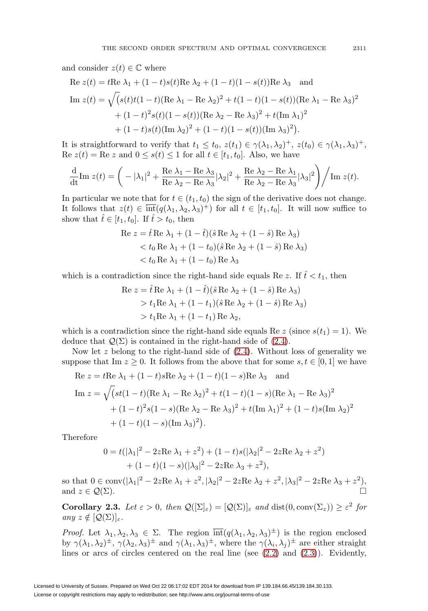and consider  $z(t) \in \mathbb{C}$  where

Re 
$$
z(t) = t
$$
Re  $\lambda_1 + (1 - t)s(t)$ Re  $\lambda_2 + (1 - t)(1 - s(t))$ Re  $\lambda_3$  and  
\nIm  $z(t) = \sqrt{(s(t)t(1 - t)(\text{Re }\lambda_1 - \text{Re }\lambda_2)^2 + t(1 - t)(1 - s(t))} (\text{Re }\lambda_1 - \text{Re }\lambda_3)^2$   
\n $+ (1 - t)^2 s(t)(1 - s(t)) (\text{Re }\lambda_2 - \text{Re }\lambda_3)^2 + t(\text{Im }\lambda_1)^2$   
\n $+ (1 - t)s(t)(\text{Im }\lambda_2)^2 + (1 - t)(1 - s(t))(\text{Im }\lambda_3)^2).$ 

It is straightforward to verify that  $t_1 \leq t_0$ ,  $z(t_1) \in \gamma(\lambda_1, \lambda_2)^+$ ,  $z(t_0) \in \gamma(\lambda_1, \lambda_3)^+$ , Re  $z(t) = \text{Re } z$  and  $0 \leq s(t) \leq 1$  for all  $t \in [t_1, t_0]$ . Also, we have

$$
\frac{\mathrm{d}}{\mathrm{d}t}\mathrm{Im}\;z(t) = \left(-|\lambda_1|^2 + \frac{\mathrm{Re}\;\lambda_1 - \mathrm{Re}\;\lambda_3}{\mathrm{Re}\;\lambda_2 - \mathrm{Re}\;\lambda_3}|\lambda_2|^2 + \frac{\mathrm{Re}\;\lambda_2 - \mathrm{Re}\;\lambda_1}{\mathrm{Re}\;\lambda_2 - \mathrm{Re}\;\lambda_3}|\lambda_3|^2\right) / \mathrm{Im}\;z(t).
$$

In particular we note that for  $t \in (t_1, t_0)$  the sign of the derivative does not change. It follows that  $z(t) \in \text{int}(q(\lambda_1, \lambda_2, \lambda_3)^+)$  for all  $t \in [t_1, t_0]$ . It will now suffice to show that  $\hat{t} \in [t_1, t_0]$ . If  $\hat{t} > t_0$ , then

$$
\begin{aligned} \text{Re } z &= \hat{t} \, \text{Re } \lambda_1 + (1 - \hat{t}) (\hat{s} \, \text{Re } \lambda_2 + (1 - \hat{s}) \, \text{Re } \lambda_3) \\ &< t_0 \, \text{Re } \lambda_1 + (1 - t_0) (\hat{s} \, \text{Re } \lambda_2 + (1 - \hat{s}) \, \text{Re } \lambda_3) \\ &< t_0 \, \text{Re } \lambda_1 + (1 - t_0) \, \text{Re } \lambda_3 \end{aligned}
$$

which is a contradiction since the right-hand side equals Re z. If  $\hat{t} < t_1$ , then

Re 
$$
z = \hat{t}
$$
 Re  $\lambda_1 + (1 - \hat{t})(\hat{s}$  Re  $\lambda_2 + (1 - \hat{s})$  Re  $\lambda_3$ )  
>  $t_1$  Re  $\lambda_1 + (1 - t_1)(\hat{s}$  Re  $\lambda_2 + (1 - \hat{s})$  Re  $\lambda_3$ )  
>  $t_1$  Re  $\lambda_1 + (1 - t_1)$  Re  $\lambda_2$ ,

which is a contradiction since the right-hand side equals Re z (since  $s(t_1) = 1$ ). We deduce that  $\mathcal{Q}(\Sigma)$  is contained in the right-hand side of [\(2.4\)](#page-4-0).

Now let z belong to the right-hand side of  $(2.4)$ . Without loss of generality we suppose that Im  $z \geq 0$ . It follows from the above that for some  $s, t \in [0, 1]$  we have

Re 
$$
z = t
$$
Re  $\lambda_1 + (1 - t)s$ Re  $\lambda_2 + (1 - t)(1 - s)$ Re  $\lambda_3$  and  
\nIm  $z = \sqrt{(st(1-t)(\text{Re }\lambda_1 - \text{Re }\lambda_2)^2 + t(1-t)(1 - s)(\text{Re }\lambda_1 - \text{Re }\lambda_3)^2 + (1 - t)^2 s(1 - s)(\text{Re }\lambda_2 - \text{Re }\lambda_3)^2 + t(\text{Im }\lambda_1)^2 + (1 - t)s(\text{Im }\lambda_2)^2 + (1 - t)(1 - s)(\text{Im }\lambda_3)^2).$ 

Therefore

$$
0 = t(|\lambda_1|^2 - 2zRe \lambda_1 + z^2) + (1 - t)s(|\lambda_2|^2 - 2zRe \lambda_2 + z^2)
$$
  
+ 
$$
(1 - t)(1 - s)(|\lambda_3|^2 - 2zRe \lambda_3 + z^2),
$$

so that  $0 \in \text{conv}(|\lambda_1|^2 - 2z \text{Re } \lambda_1 + z^2, |\lambda_2|^2 - 2z \text{Re } \lambda_2 + z^2, |\lambda_3|^2 - 2z \text{Re } \lambda_3 + z^2),$ and  $z \in \mathcal{Q}(\Sigma)$ .

<span id="page-7-0"></span>**Corollary 2.3.** Let  $\varepsilon > 0$ , then  $\mathcal{Q}([\Sigma]_{\varepsilon}) = [\mathcal{Q}(\Sigma)]_{\varepsilon}$  and  $dist(0, \text{conv}(\Sigma_{z})) \geq \varepsilon^{2}$  for any  $z \notin [\mathcal{Q}(\Sigma)]_{\varepsilon}$ .

*Proof.* Let  $\lambda_1, \lambda_2, \lambda_3 \in \Sigma$ . The region  $\overline{\text{int}}(q(\lambda_1, \lambda_2, \lambda_3)^{\pm})$  is the region enclosed by  $\gamma(\lambda_1, \lambda_2)^{\pm}$ ,  $\gamma(\lambda_2, \lambda_3)^{\pm}$  and  $\gamma(\lambda_1, \lambda_3)^{\pm}$ , where the  $\gamma(\lambda_i, \lambda_j)^{\pm}$  are either straight lines or arcs of circles centered on the real line (see [\(2.2\)](#page-4-2) and [\(2.3\)](#page-4-3)). Evidently,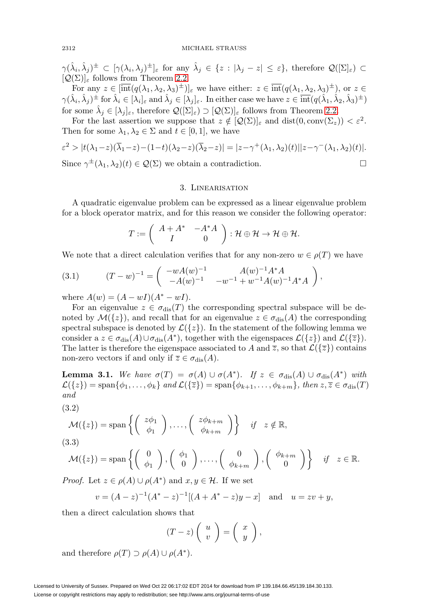$\gamma(\hat{\lambda}_i, \hat{\lambda}_j)^\pm \subset [\gamma(\lambda_i, \lambda_j)^\pm]_\varepsilon$  for any  $\hat{\lambda}_j \in \{z : |\lambda_j - z| \leq \varepsilon\}$ , therefore  $\mathcal{Q}([\Sigma]_\varepsilon) \subset$  $[Q(\Sigma)]_{\varepsilon}$  follows from Theorem [2.2.](#page-4-4)

For any  $z \in [\text{int}(q(\lambda_1, \lambda_2, \lambda_3)^{\pm})]_{\varepsilon}$  we have either:  $z \in \text{int}(q(\lambda_1, \lambda_2, \lambda_3)^{\pm})$ , or  $z \in \mathcal{E}$  $\gamma(\hat{\lambda}_i, \hat{\lambda}_j)$ <sup> $\pm$ </sup> for  $\hat{\lambda}_i \in [\lambda_i]_\varepsilon$  and  $\hat{\lambda}_j \in [\lambda_j]_\varepsilon$ . In either case we have  $z \in \overline{\text{int}}(q(\hat{\lambda}_1, \hat{\lambda}_2, \hat{\lambda}_3)^{\pm})$ for some  $\hat{\lambda}_i \in [\lambda_i]_{\epsilon}$ , therefore  $\mathcal{Q}([\Sigma]_{\epsilon}) \supset [\mathcal{Q}(\Sigma)]_{\epsilon}$  follows from Theorem [2.2.](#page-4-4)

For the last assertion we suppose that  $z \notin [Q(\Sigma)]_{\varepsilon}$  and  $dist(0, \text{conv}(\Sigma_z)) < \varepsilon^2$ . Then for some  $\lambda_1, \lambda_2 \in \Sigma$  and  $t \in [0, 1]$ , we have

$$
\varepsilon^2 > |t(\lambda_1 - z)(\overline{\lambda}_1 - z) - (1 - t)(\lambda_2 - z)(\overline{\lambda}_2 - z)| = |z - \gamma^+(\lambda_1, \lambda_2)(t)||z - \gamma^-(\lambda_1, \lambda_2)(t)|.
$$
  
Since  $\gamma^{\pm}(\lambda_1, \lambda_2)(t) \in \mathcal{Q}(\Sigma)$  we obtain a contradiction.

#### 3. Linearisation

A quadratic eigenvalue problem can be expressed as a linear eigenvalue problem for a block operator matrix, and for this reason we consider the following operator:

$$
T:=\left(\begin{array}{cc}A+A^*&-A^*A\\I&0\end{array}\right):\mathcal{H}\oplus\mathcal{H}\to\mathcal{H}\oplus\mathcal{H}.
$$

We note that a direct calculation verifies that for any non-zero  $w \in \rho(T)$  we have

<span id="page-8-0"></span>(3.1) 
$$
(T-w)^{-1} = \begin{pmatrix} -wA(w)^{-1} & A(w)^{-1}A^*A \\ -A(w)^{-1} & -w^{-1} + w^{-1}A(w)^{-1}A^*A \end{pmatrix},
$$

where  $A(w) = (A - wI)(A^* - wI)$ .

For an eigenvalue  $z \in \sigma_{\text{dis}}(T)$  the corresponding spectral subspace will be denoted by  $\mathcal{M}(\lbrace z \rbrace)$ , and recall that for an eigenvalue  $z \in \sigma_{\text{dis}}(A)$  the corresponding spectral subspace is denoted by  $\mathcal{L}(\{z\})$ . In the statement of the following lemma we consider a  $z \in \sigma_{\text{dis}}(A) \cup \sigma_{\text{dis}}(A^*)$ , together with the eigenspaces  $\mathcal{L}(\{z\})$  and  $\mathcal{L}(\{\overline{z}\})$ . The latter is therefore the eigenspace associated to A and  $\overline{z}$ , so that  $\mathcal{L}(\{\overline{z}\})$  contains non-zero vectors if and only if  $\overline{z} \in \sigma_{\text{dis}}(A)$ .

<span id="page-8-3"></span>**Lemma 3.1.** We have  $\sigma(T) = \sigma(A) \cup \sigma(A^*)$ . If  $z \in \sigma_{dis}(A) \cup \sigma_{dis}(A^*)$  with  $\mathcal{L}(\{z\}) = \text{span}\{\phi_1,\ldots,\phi_k\}$  and  $\mathcal{L}(\{\overline{z}\}) = \text{span}\{\phi_{k+1},\ldots,\phi_{k+m}\}\$ , then  $z, \overline{z} \in \sigma_{\text{dis}}(T)$ and

<span id="page-8-1"></span>
$$
(3.2)
$$

$$
\mathcal{M}(\{z\}) = \text{span}\left\{ \begin{pmatrix} z\phi_1 \\ \phi_1 \end{pmatrix}, \dots, \begin{pmatrix} z\phi_{k+m} \\ \phi_{k+m} \end{pmatrix} \right\} \quad \text{if} \quad z \notin \mathbb{R},
$$

<span id="page-8-2"></span>(3.3)  
\n
$$
\mathcal{M}(\{z\}) = \text{span}\left\{ \begin{pmatrix} 0 \\ \phi_1 \end{pmatrix}, \begin{pmatrix} \phi_1 \\ 0 \end{pmatrix}, \dots, \begin{pmatrix} 0 \\ \phi_{k+m} \end{pmatrix} \right\}
$$

 $\begin{cases} i+m \\ 0 \end{cases}$  if  $z \in \mathbb{R}$ . *Proof.* Let  $z \in \rho(A) \cup \rho(A^*)$  and  $x, y \in \mathcal{H}$ . If we set

$$
v = (A - z)^{-1} (A^* - z)^{-1} [(A + A^* - z)y - x]
$$
 and  $u = zv + y$ ,

 $\bigg)$ ,  $\bigg( \begin{array}{c} \phi_{k+m} \\ 0 \end{array} \bigg)$ 

then a direct calculation shows that

$$
(T-z)\left(\begin{array}{c}u\\v\end{array}\right)=\left(\begin{array}{c}x\\y\end{array}\right),\,
$$

and therefore  $\rho(T) \supset \rho(A) \cup \rho(A^*)$ .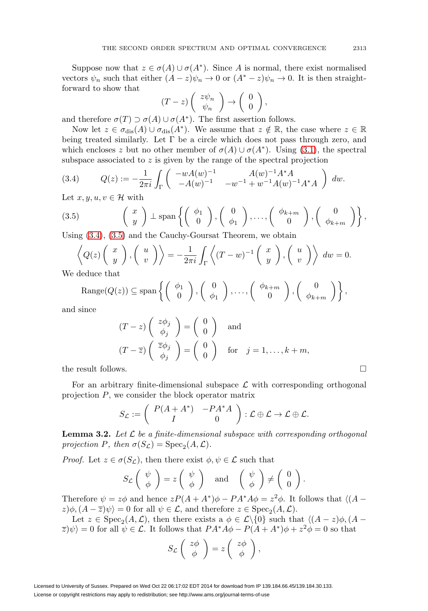Suppose now that  $z \in \sigma(A) \cup \sigma(A^*)$ . Since A is normal, there exist normalised vectors  $\psi_n$  such that either  $(A - z)\psi_n \to 0$  or  $(A^* - z)\psi_n \to 0$ . It is then straightforward to show that

$$
(T-z)\left(\begin{array}{c}z\psi_n\\ \psi_n\end{array}\right)\to\left(\begin{array}{c}0\\ 0\end{array}\right),
$$

and therefore  $\sigma(T) \supset \sigma(A) \cup \sigma(A^*)$ . The first assertion follows.

Now let  $z \in \sigma_{\text{dis}}(A) \cup \sigma_{\text{dis}}(A^*)$ . We assume that  $z \notin \mathbb{R}$ , the case where  $z \in \mathbb{R}$ being treated similarly. Let  $\Gamma$  be a circle which does not pass through zero, and which encloses z but no other member of  $\sigma(A) \cup \sigma(A^*)$ . Using [\(3.1\)](#page-8-0), the spectral subspace associated to z is given by the range of the spectral projection

<span id="page-9-0"></span>(3.4) 
$$
Q(z) := -\frac{1}{2\pi i} \int_{\Gamma} \begin{pmatrix} -wA(w)^{-1} & A(w)^{-1}A^*A \\ -A(w)^{-1} & -w^{-1} + w^{-1}A(w)^{-1}A^*A \end{pmatrix} dw.
$$

Let  $x, y, u, v \in \mathcal{H}$  with

<span id="page-9-1"></span>(3.5) 
$$
\begin{pmatrix} x \\ y \end{pmatrix} \perp \text{span}\left\{ \begin{pmatrix} \phi_1 \\ 0 \end{pmatrix}, \begin{pmatrix} 0 \\ \phi_1 \end{pmatrix}, \dots, \begin{pmatrix} \phi_{k+m} \\ 0 \end{pmatrix}, \begin{pmatrix} 0 \\ \phi_{k+m} \end{pmatrix} \right\},
$$
  
Using (2.4), (2.5) and the Gouche Gouver's Theorem, we obtain

Using [\(3.4\)](#page-9-0), [\(3.5\)](#page-9-1) and the Cauchy-Goursat Theorem, we obtain

$$
\left\langle Q(z) \begin{pmatrix} x \\ y \end{pmatrix}, \begin{pmatrix} u \\ v \end{pmatrix} \right\rangle = -\frac{1}{2\pi i} \int_{\Gamma} \left\langle (T - w)^{-1} \begin{pmatrix} x \\ y \end{pmatrix}, \begin{pmatrix} u \\ v \end{pmatrix} \right\rangle dw = 0.
$$
deduce that

We

Range(
$$
Q(z)
$$
)  $\subseteq$  span $\left\{ \begin{pmatrix} \phi_1 \\ 0 \end{pmatrix}, \begin{pmatrix} 0 \\ \phi_1 \end{pmatrix}, \dots, \begin{pmatrix} \phi_{k+m} \\ 0 \end{pmatrix}, \begin{pmatrix} 0 \\ \phi_{k+m} \end{pmatrix} \right\},$ 

and since

$$
(T-z)\begin{pmatrix}z\phi_j\\ \phi_j\end{pmatrix} = \begin{pmatrix}0\\ 0\end{pmatrix} \text{ and}
$$

$$
(T-\overline{z})\begin{pmatrix}\overline{z}\phi_j\\ \phi_j\end{pmatrix} = \begin{pmatrix}0\\ 0\end{pmatrix} \text{ for } j=1,\ldots,k+m,
$$
the result follows.

For an arbitrary finite-dimensional subspace  $\mathcal L$  with corresponding orthogonal projection P, we consider the block operator matrix

$$
S_{\mathcal{L}} := \left( \begin{array}{cc} P(A + A^*) & -PA^*A \\ I & 0 \end{array} \right) : \mathcal{L} \oplus \mathcal{L} \to \mathcal{L} \oplus \mathcal{L}.
$$

**Lemma 3.2.** Let  $\mathcal{L}$  be a finite-dimensional subspace with corresponding orthogonal projection P, then  $\sigma(S_{\mathcal{L}}) = \text{Spec}_2(A, \mathcal{L}).$ 

*Proof.* Let  $z \in \sigma(S_{\mathcal{L}})$ , then there exist  $\phi, \psi \in \mathcal{L}$  such that

$$
S_{\mathcal{L}}\left(\begin{array}{c}\psi\\ \phi\end{array}\right)=z\left(\begin{array}{c}\psi\\ \phi\end{array}\right)\quad\text{and}\quad\left(\begin{array}{c}\psi\\ \phi\end{array}\right)\neq\left(\begin{array}{c}0\\ 0\end{array}\right).
$$

Therefore  $\psi = z\phi$  and hence  $zP(A + A^*)\phi - PA^*A\phi = z^2\phi$ . It follows that  $\langle (A - A^*)\phi \rangle = -PA^*A\phi = -z^*A$ .  $z)\phi$ ,  $(A-\overline{z})\psi$  = 0 for all  $\psi \in \mathcal{L}$ , and therefore  $z \in \text{Spec}_2(A, \mathcal{L})$ .

Let  $z \in \text{Spec}_2(A, \mathcal{L})$ , then there exists a  $\phi \in \mathcal{L}\backslash\{0\}$  such that  $\langle (A - z)\phi, (A - z)\phi \rangle$  $\langle \overline{z} \rangle \psi \rangle = 0$  for all  $\psi \in \mathcal{L}$ . It follows that  $PA^*A\phi - P(A + A^*)\phi + z^2\phi = 0$  so that

$$
S_{\mathcal{L}}\left(\begin{array}{c}z\phi\\ \phi\end{array}\right)=z\left(\begin{array}{c}z\phi\\ \phi\end{array}\right),\,
$$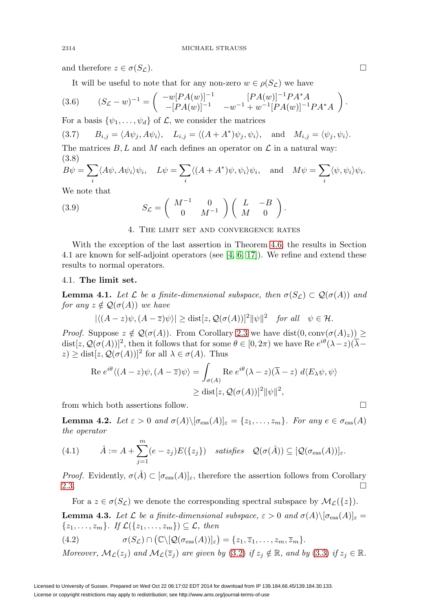and therefore  $z \in \sigma(S_{\mathcal{L}})$ .

It will be useful to note that for any non-zero  $w \in \rho(S_{\mathcal{L}})$  we have

<span id="page-10-5"></span>
$$
(3.6) \qquad (S_{\mathcal{L}} - w)^{-1} = \begin{pmatrix} -w[P A(w)]^{-1} & [P A(w)]^{-1} P A^* A \\ -[P A(w)]^{-1} & -w^{-1} + w^{-1} [P A(w)]^{-1} P A^* A \end{pmatrix}
$$

For a basis  $\{\psi_1,\ldots,\psi_d\}$  of  $\mathcal{L}$ , we consider the matrices

<span id="page-10-6"></span>(3.7)  $B_{i,j} = \langle A\psi_j, A\psi_i \rangle, \quad L_{i,j} = \langle (A + A^*)\psi_j, \psi_i \rangle, \quad \text{and} \quad M_{i,j} = \langle \psi_j, \psi_i \rangle.$ 

The matrices  $B, L$  and M each defines an operator on  $\mathcal L$  in a natural way: (3.8)

$$
B\psi = \sum_{i} \langle A\psi, A\psi_i \rangle \psi_i, \quad L\psi = \sum_{i} \langle (A + A^*)\psi, \psi_i \rangle \psi_i, \quad \text{and} \quad M\psi = \sum_{i} \langle \psi, \psi_i \rangle \psi_i.
$$

We note that

<span id="page-10-7"></span>(3.9) 
$$
S_{\mathcal{L}} = \begin{pmatrix} M^{-1} & 0 \\ 0 & M^{-1} \end{pmatrix} \begin{pmatrix} L & -B \\ M & 0 \end{pmatrix}.
$$

4. The limit set and convergence rates

With the exception of the last assertion in Theorem [4.6,](#page-13-0) the results in Section 4.1 are known for self-adjoint operators (see  $[4, 6, 17]$  $[4, 6, 17]$  $[4, 6, 17]$ ). We refine and extend these results to normal operators.

#### 4.1. **The limit set.**

<span id="page-10-1"></span>**Lemma 4.1.** Let  $\mathcal L$  be a finite-dimensional subspace, then  $\sigma(S_{\mathcal L}) \subset \mathcal Q(\sigma(A))$  and for any  $z \notin \mathcal{Q}(\sigma(A))$  we have

$$
|\langle (A-z)\psi, (A-\overline{z})\psi \rangle| \ge \text{dist}[z, \mathcal{Q}(\sigma(A))]^2 ||\psi||^2 \quad \text{for all} \quad \psi \in \mathcal{H}.
$$

*Proof.* Suppose  $z \notin \mathcal{Q}(\sigma(A))$ . From Corollary [2.3](#page-7-0) we have dist $(0, \text{conv}(\sigma(A)_z)) \ge$ dist[ $z, \mathcal{Q}(\sigma(A))]^2$ , then it follows that for some  $\theta \in [0, 2\pi)$  we have Re  $e^{i\theta}(\lambda - z)(\overline{\lambda}-z)$  $z) \geq \text{dist}[z, \mathcal{Q}(\sigma(A))]^2$  for all  $\lambda \in \sigma(A)$ . Thus

$$
\operatorname{Re} e^{i\theta} \langle (A - z)\psi, (A - \overline{z})\psi \rangle = \int_{\sigma(A)} \operatorname{Re} e^{i\theta} (\lambda - z)(\overline{\lambda} - z) d\langle E_{\lambda}\psi, \psi \rangle
$$
  
 
$$
\geq \operatorname{dist}[z, \mathcal{Q}(\sigma(A))]^{2} ||\psi||^{2},
$$

from which both assertions follow.

<span id="page-10-2"></span>**Lemma 4.2.** Let  $\varepsilon > 0$  and  $\sigma(A) \setminus [\sigma_{\text{ess}}(A)]_{\varepsilon} = \{z_1, \ldots, z_m\}$ . For any  $e \in \sigma_{\text{ess}}(A)$ the operator

<span id="page-10-0"></span>(4.1) 
$$
\hat{A} := A + \sum_{j=1}^{m} (e - z_j) E(\{z_j\}) \quad satisfies \quad \mathcal{Q}(\sigma(\hat{A})) \subseteq [\mathcal{Q}(\sigma_{\text{ess}}(A))]_{\varepsilon}.
$$

*Proof.* Evidently,  $\sigma(\hat{A}) \subset [\sigma_{\text{ess}}(A)]_{\varepsilon}$ , therefore the assertion follows from Corollary [2.3.](#page-7-0)  $\Box$ 

<span id="page-10-4"></span>For a  $z \in \sigma(S_{\mathcal{L}})$  we denote the corresponding spectral subspace by  $\mathcal{M}_{\mathcal{L}}({z}).$ **Lemma 4.3.** Let  $\mathcal{L}$  be a finite-dimensional subspace,  $\varepsilon > 0$  and  $\sigma(A) \setminus [\sigma_{\text{ess}}(A)]_{\varepsilon} =$  $\{z_1,\ldots,z_m\}$ . If  $\mathcal{L}(\{z_1,\ldots,z_m\}) \subseteq \mathcal{L}$ , then

<span id="page-10-3"></span>(4.2) 
$$
\sigma(S_{\mathcal{L}}) \cap (\mathbb{C} \setminus [\mathcal{Q}(\sigma_{\mathrm{ess}}(A))]_{\varepsilon}) = \{z_1, \overline{z}_1, \ldots, z_m, \overline{z}_m\}.
$$

Moreover,  $\mathcal{M}_{\mathcal{L}}(z_i)$  and  $\mathcal{M}_{\mathcal{L}}(\overline{z}_i)$  are given by [\(3.2\)](#page-8-1) if  $z_i \notin \mathbb{R}$ , and by [\(3.3\)](#page-8-2) if  $z_i \in \mathbb{R}$ .

.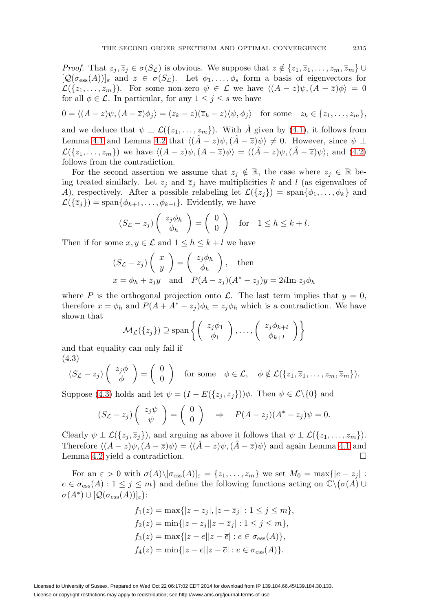*Proof.* That  $z_j, \overline{z}_j \in \sigma(S_{\mathcal{L}})$  is obvious. We suppose that  $z \notin \{z_1, \overline{z}_1, \ldots, z_m, \overline{z}_m\}$  $[\mathcal{Q}(\sigma_{\text{ess}}(A))]_{\varepsilon}$  and  $z \in \sigma(S_{\mathcal{L}})$ . Let  $\phi_1, \ldots, \phi_s$  form a basis of eigenvectors for  $\mathcal{L}(\{z_1,\ldots,z_m\})$ . For some non-zero  $\psi \in \mathcal{L}$  we have  $\langle (A-z)\psi, (A-\overline{z})\phi \rangle = 0$ for all  $\phi \in \mathcal{L}$ . In particular, for any  $1 \leq j \leq s$  we have

$$
0 = \langle (A - z)\psi, (A - \overline{z})\phi_j \rangle = (z_k - z)(\overline{z}_k - z)\langle \psi, \phi_j \rangle \quad \text{for some} \quad z_k \in \{z_1, \dots, z_m\},
$$

and we deduce that  $\psi \perp \mathcal{L}(\{z_1,\ldots,z_m\})$ . With  $\hat{A}$  given by [\(4.1\)](#page-10-0), it follows from Lemma [4.1](#page-10-1) and Lemma [4.2](#page-10-2) that  $\langle (\hat{A} - z)\psi, (\hat{A} - \overline{z})\psi \rangle \neq 0$ . However, since  $\psi \perp$  $\mathcal{L}(\{z_1,\ldots,z_m\})$  we have  $\langle (A-z)\psi, (A-\overline{z})\psi \rangle = \langle (\hat{A}-z)\psi, (\hat{A}-\overline{z})\psi \rangle$ , and  $(4.2)$ follows from the contradiction.

For the second assertion we assume that  $z_j \notin \mathbb{R}$ , the case where  $z_j \in \mathbb{R}$  being treated similarly. Let  $z_j$  and  $\overline{z}_j$  have multiplicities k and l (as eigenvalues of A), respectively. After a possible relabeling let  $\mathcal{L}(\{z_i\}) = \text{span}\{\phi_1,\ldots,\phi_k\}$  and  $\mathcal{L}(\{\overline{z}_i\}) = \text{span}\{\phi_{k+1},\ldots,\phi_{k+l}\}.$  Evidently, we have

$$
(S_{\mathcal{L}} - z_j) \begin{pmatrix} z_j \phi_h \\ \phi_h \end{pmatrix} = \begin{pmatrix} 0 \\ 0 \end{pmatrix} \text{ for } 1 \le h \le k+l.
$$

Then if for some  $x, y \in \mathcal{L}$  and  $1 \leq h \leq k+l$  we have

$$
(S_{\mathcal{L}} - z_j) \begin{pmatrix} x \\ y \end{pmatrix} = \begin{pmatrix} z_j \phi_h \\ \phi_h \end{pmatrix}, \text{ then}
$$
  
  $x = \phi_h + z_j y \text{ and } P(A - z_j)(A^* - z_j)y = 2i \text{Im } z_j \phi_h$ 

where P is the orthogonal projection onto L. The last term implies that  $y = 0$ , therefore  $x = \phi_h$  and  $P(A + A^* - z_j)\phi_h = z_j\phi_h$  which is a contradiction. We have shown that

$$
\mathcal{M}_{\mathcal{L}}(\{z_j\}) \supseteq \text{span}\left\{ \left( \begin{array}{c} z_j \phi_1 \\ \phi_1 \end{array} \right), \ldots, \left( \begin{array}{c} z_j \phi_{k+l} \\ \phi_{k+l} \end{array} \right) \right\}
$$

<span id="page-11-0"></span>and that equality can only fail if (4.3)

$$
(S_{\mathcal{L}}-z_j)\begin{pmatrix}z_j\phi\\ \phi\end{pmatrix}=\begin{pmatrix}0\\ 0\end{pmatrix} \text{ for some } \phi\in\mathcal{L}, \phi\notin\mathcal{L}(\{z_1,\overline{z}_1,\ldots,z_m,\overline{z}_m\}).
$$

Suppose [\(4.3\)](#page-11-0) holds and let  $\psi = (I - E({z_i, \overline{z_j}}))\phi$ . Then  $\psi \in \mathcal{L}\backslash\{0\}$  and

$$
(S_{\mathcal{L}} - z_j) \begin{pmatrix} z_j \psi \\ \psi \end{pmatrix} = \begin{pmatrix} 0 \\ 0 \end{pmatrix} \Rightarrow P(A - z_j)(A^* - z_j)\psi = 0.
$$

Clearly  $\psi \perp \mathcal{L}(\{z_i, \overline{z}_i\})$ , and arguing as above it follows that  $\psi \perp \mathcal{L}(\{z_1, \ldots, z_m\})$ . Therefore  $\langle (A-z)\psi, (A-\overline{z})\psi \rangle = \langle (\hat{A}-z)\psi, (\hat{A}-\overline{z})\psi \rangle$  and again Lemma [4.1](#page-10-1) and Lemma [4.2](#page-10-2) yield a contradiction.

For an  $\varepsilon > 0$  with  $\sigma(A) \setminus [\sigma_{\text{ess}}(A)]_{\varepsilon} = \{z_1, \ldots, z_m\}$  we set  $M_0 = \max\{|e - z_j| :$  $e \in \sigma_{\text{ess}}(A) : 1 \leq j \leq m$  and define the following functions acting on  $\mathbb{C}\setminus(\sigma(A)\cup$  $\sigma(A^*) \cup [\mathcal{Q}(\sigma_{\rm ess}(A))]_{\varepsilon}$ :

$$
f_1(z) = \max\{|z - z_j|, |z - \overline{z}_j| : 1 \le j \le m\},
$$
  
\n
$$
f_2(z) = \min\{|z - z_j| | z - \overline{z}_j| : 1 \le j \le m\},
$$
  
\n
$$
f_3(z) = \max\{|z - e||z - \overline{e}| : e \in \sigma_{\text{ess}}(A)\},
$$
  
\n
$$
f_4(z) = \min\{|z - e||z - \overline{e}| : e \in \sigma_{\text{ess}}(A)\}.
$$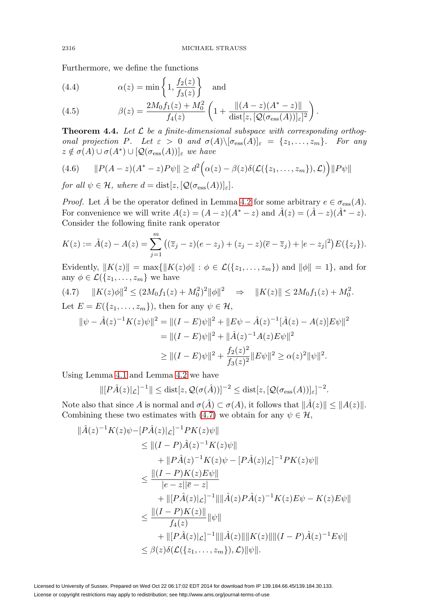Furthermore, we define the functions

<span id="page-12-2"></span>(4.4) 
$$
\alpha(z) = \min\left\{1, \frac{f_2(z)}{f_3(z)}\right\} \text{ and}
$$

<span id="page-12-3"></span>(4.5) 
$$
\beta(z) = \frac{2M_0 f_1(z) + M_0^2}{f_4(z)} \left( 1 + \frac{\|(A-z)(A^*-z)\|}{\text{dist}[z, [\mathcal{Q}(\sigma_{\text{ess}}(A))]_\varepsilon]^2} \right).
$$

<span id="page-12-1"></span>**Theorem 4.4.** Let  $\mathcal{L}$  be a finite-dimensional subspace with corresponding orthogonal projection P. Let  $\varepsilon > 0$  and  $\sigma(A) \setminus [\sigma_{\text{ess}}(A)]_{\varepsilon} = \{z_1, \ldots, z_m\}$ . For any  $z \notin \sigma(A) \cup \sigma(A^*) \cup [\mathcal{Q}(\sigma_{\text{ess}}(A))]_{\epsilon}$  we have

$$
(4.6) \qquad ||P(A-z)(A^*-z)P\psi|| \geq d^2 \Big( \alpha(z) - \beta(z)\delta(\mathcal{L}(\{z_1,\ldots,z_m\}),\mathcal{L}) \Big) ||P\psi||
$$

for all  $\psi \in \mathcal{H}$ , where  $d = \text{dist}[z, [\mathcal{Q}(\sigma_{\text{ess}}(A))]_{\varepsilon}].$ 

*Proof.* Let  $\hat{A}$  be the operator defined in Lemma [4.2](#page-10-2) for some arbitrary  $e \in \sigma_{\text{ess}}(A)$ . For convenience we will write  $A(z)=(A-z)(A^*-z)$  and  $\hat{A}(z)=(\hat{A}-z)(\hat{A}^*-z)$ . Consider the following finite rank operator

$$
K(z) := \hat{A}(z) - A(z) = \sum_{j=1}^{m} ((\overline{z}_j - z)(e - z_j) + (z_j - z)(\overline{e} - \overline{z}_j) + |e - z_j|^2) E({z_j}).
$$

Evidently,  $||K(z)|| = \max{||K(z)\phi|| : \phi \in \mathcal{L}(\{z_1,\ldots,z_m\})}$  and  $||\phi|| = 1$ , and for any  $\phi \in \mathcal{L}(\{z_1,\ldots,z_m\})$  we have

<span id="page-12-0"></span>
$$
(4.7) \quad ||K(z)\phi||^2 \le (2M_0 f_1(z) + M_0^2)^2 ||\phi||^2 \quad \Rightarrow \quad ||K(z)|| \le 2M_0 f_1(z) + M_0^2.
$$
  
Let  $E = E(\{z_1, \ldots, z_m\})$ , then for any  $\psi \in \mathcal{H}$ ,

$$
\|\psi - \hat{A}(z)^{-1}K(z)\psi\|^2 = \|(I - E)\psi\|^2 + \|E\psi - \hat{A}(z)^{-1}[\hat{A}(z) - A(z)]E\psi\|^2
$$
  
= 
$$
\|(I - E)\psi\|^2 + \|\hat{A}(z)^{-1}A(z)E\psi\|^2
$$
  

$$
\geq \|(I - E)\psi\|^2 + \frac{f_2(z)^2}{f_3(z)^2}\|E\psi\|^2 \geq \alpha(z)^2 \|\psi\|^2.
$$

Using Lemma [4.1](#page-10-1) and Lemma [4.2](#page-10-2) we have

$$
\|[P\hat{A}(z)|_{\mathcal{L}}]^{-1}\| \le \text{dist}[z, \mathcal{Q}(\sigma(\hat{A}))]^{-2} \le \text{dist}[z, [\mathcal{Q}(\sigma_{\text{ess}}(A))]_{\varepsilon}]^{-2}.
$$

Note also that since A is normal and  $\sigma(A) \subset \sigma(A)$ , it follows that  $||A(z)|| \leq ||A(z)||$ . Combining these two estimates with [\(4.7\)](#page-12-0) we obtain for any  $\psi \in \mathcal{H}$ ,

$$
\|\hat{A}(z)^{-1}K(z)\psi - [P\hat{A}(z)|_{\mathcal{L}}]^{-1}PK(z)\psi\| \n\leq \|(I - P)\hat{A}(z)^{-1}K(z)\psi\| \n+ \|P\hat{A}(z)^{-1}K(z)\psi - [P\hat{A}(z)|_{\mathcal{L}}]^{-1}PK(z)\psi\| \n\leq \frac{\|(I - P)K(z)E\psi\|}{|e - z||\overline{e} - z|} \n+ \|[P\hat{A}(z)|_{\mathcal{L}}]^{-1}\|\|\hat{A}(z)P\hat{A}(z)^{-1}K(z)E\psi - K(z)E\psi\| \n\leq \frac{\|(I - P)K(z)\|}{f_{4}(z)}\|\psi\| \n+ \|[P\hat{A}(z)|_{\mathcal{L}}]^{-1}\|\|\hat{A}(z)\|\|K(z)\|\|(I - P)\hat{A}(z)^{-1}E\psi\| \n\leq \beta(z)\delta(\mathcal{L}(\{z_{1},..., z_{m}\}), \mathcal{L})\|\psi\|.
$$

Licensed to University of Sussex. Prepared on Wed Oct 22 06:17:02 EDT 2014 for download from IP 139.184.66.45/139.184.30.133. License or copyright restrictions may apply to redistribution; see http://www.ams.org/journal-terms-of-use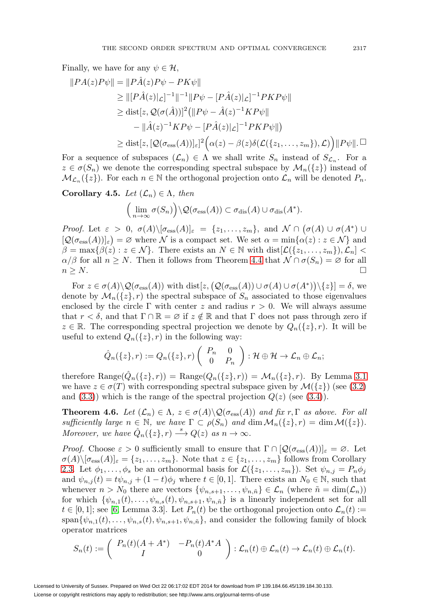Finally, we have for any  $\psi \in \mathcal{H}$ ,

$$
||PA(z)P\psi|| = ||P\hat{A}(z)P\psi - PK\psi||
$$
  
\n
$$
\geq ||[P\hat{A}(z)|\mathcal{L}]^{-1}||^{-1}||P\psi - [P\hat{A}(z)|\mathcal{L}]^{-1}PKP\psi||
$$
  
\n
$$
\geq \text{dist}[z, Q(\sigma(\hat{A}))]^2 (||P\psi - \hat{A}(z)^{-1}KP\psi||
$$
  
\n
$$
- ||\hat{A}(z)^{-1}KP\psi - [P\hat{A}(z)|\mathcal{L}]^{-1}PKP\psi||)
$$
  
\n
$$
\geq \text{dist}[z, [Q(\sigma_{\text{ess}}(A))]_{\varepsilon}]^2 (\alpha(z) - \beta(z)\delta(\mathcal{L}(\{z_1, \ldots, z_m\}), \mathcal{L})) ||P\psi||. \Box
$$

For a sequence of subspaces  $(\mathcal{L}_n) \in \Lambda$  we shall write  $S_n$  instead of  $S_{\mathcal{L}_n}$ . For a  $z \in \sigma(S_n)$  we denote the corresponding spectral subspace by  $\mathcal{M}_n({z})$  instead of  $\mathcal{M}_{\mathcal{L}_n}(\{z\})$ . For each  $n \in \mathbb{N}$  the orthogonal projection onto  $\mathcal{L}_n$  will be denoted  $P_n$ .

<span id="page-13-1"></span>**Corollary 4.5.** Let  $(\mathcal{L}_n) \in \Lambda$ , then

$$
\Big(\lim_{n\to\infty}\sigma(S_n)\Big)\setminus\mathcal{Q}(\sigma_{\rm ess}(A))\subset\sigma_{\rm dis}(A)\cup\sigma_{\rm dis}(A^*).
$$

*Proof.* Let  $\varepsilon > 0$ ,  $\sigma(A) \setminus [\sigma_{\text{ess}}(A)]_{\varepsilon} = \{z_1, \ldots, z_m\}$ , and  $\mathcal{N} \cap (\sigma(A) \cup \sigma(A^*) \cup \sigma(A))$  $[\mathcal{Q}(\sigma_{\text{ess}}(A))]_{\varepsilon}$  = Ø where N is a compact set. We set  $\alpha = \min{\{\alpha(z) : z \in \mathcal{N}\}}$  and  $\beta = \max\{\beta(z) : z \in \mathcal{N}\}\.$  There exists an  $N \in \mathbb{N}$  with  $dist[\mathcal{L}(\{z_1,\ldots,z_m\}),\mathcal{L}_n]$  $\alpha/\beta$  for all  $n \geq N$ . Then it follows from Theorem [4.4](#page-12-1) that  $\mathcal{N} \cap \sigma(S_n) = \varnothing$  for all  $n \geq N$ .

For  $z \in \sigma(A) \setminus \mathcal{Q}(\sigma_{\text{ess}}(A))$  with  $\text{dist}[z, (\mathcal{Q}(\sigma_{\text{ess}}(A)) \cup \sigma(A) \cup \sigma(A^*)) \setminus \{z\}] = \delta$ , we denote by  $\mathcal{M}_n({z}, r)$  the spectral subspace of  $S_n$  associated to those eigenvalues enclosed by the circle Γ with center z and radius  $r > 0$ . We will always assume that  $r < \delta$ , and that  $\Gamma \cap \mathbb{R} = \emptyset$  if  $z \notin \mathbb{R}$  and that  $\Gamma$  does not pass through zero if  $z \in \mathbb{R}$ . The corresponding spectral projection we denote by  $Q_n({z}, r)$ . It will be useful to extend  $Q_n({z}, r)$  in the following way:

$$
\hat{Q}_n({z},r):=Q_n({z},r)\begin{pmatrix}P_n&0\\0&P_n\end{pmatrix}:\mathcal{H}\oplus\mathcal{H}\to\mathcal{L}_n\oplus\mathcal{L}_n;
$$

therefore Range $(Q_n({z}, r)) = \text{Range}(Q_n({z}, r)) = \mathcal{M}_n({z}, r)$ . By Lemma [3.1](#page-8-3) we have  $z \in \sigma(T)$  with corresponding spectral subspace given by  $\mathcal{M}(\{z\})$  (see [\(3.2\)](#page-8-1) and  $(3.3)$ ) which is the range of the spectral projection  $Q(z)$  (see  $(3.4)$ ).

<span id="page-13-0"></span>**Theorem 4.6.** Let  $(\mathcal{L}_n) \in \Lambda$ ,  $z \in \sigma(A) \setminus \mathcal{Q}(\sigma_{\text{ess}}(A))$  and fix r,  $\Gamma$  as above. For all sufficiently large  $n \in \mathbb{N}$ , we have  $\Gamma \subset \rho(S_n)$  and  $\dim \mathcal{M}_n({z}, r) = \dim \mathcal{M}({z}).$ Moreover, we have  $\hat{Q}_n({z}, r) \stackrel{s}{\longrightarrow} Q(z)$  as  $n \to \infty$ .

*Proof.* Choose  $\varepsilon > 0$  sufficiently small to ensure that  $\Gamma \cap [\mathcal{Q}(\sigma_{\text{ess}}(A))]_{\varepsilon} = \emptyset$ . Let  $\sigma(A) \setminus [\sigma_{\text{ess}}(A)]_{\varepsilon} = \{z_1, \ldots, z_m\}.$  Note that  $z \in \{z_1, \ldots, z_m\}$  follows from Corollary [2.3.](#page-7-0) Let  $\phi_1,\ldots,\phi_s$  be an orthonormal basis for  $\mathcal{L}(\{z_1,\ldots,z_m\})$ . Set  $\psi_{n,j}=P_n\phi_j$ and  $\psi_{n,j}(t) = t\psi_{n,j} + (1-t)\phi_j$  where  $t \in [0,1]$ . There exists an  $N_0 \in \mathbb{N}$ , such that whenever  $n>N_0$  there are vectors  $\{\psi_{n,s+1},\ldots,\psi_{n,\tilde{n}}\}\in\mathcal{L}_n$  (where  $\tilde{n}=\dim(\mathcal{L}_n)$ ) for which  $\{\psi_{n,1}(t),\ldots,\psi_{n,s}(t), \psi_{n,s+1}, \psi_{n,\tilde{n}}\}$  is a linearly independent set for all  $t \in [0,1]$ ; see [\[6,](#page-21-1) Lemma 3.3]. Let  $P_n(t)$  be the orthogonal projection onto  $\mathcal{L}_n(t)$  := span $\{\psi_{n,1}(t),\ldots,\psi_{n,s}(t), \psi_{n,s+1}, \psi_{n,\tilde{n}}\}$ , and consider the following family of block operator matrices

$$
S_n(t) := \begin{pmatrix} P_n(t)(A+A^*) & -P_n(t)A^*A \\ I & 0 \end{pmatrix} : \mathcal{L}_n(t) \oplus \mathcal{L}_n(t) \to \mathcal{L}_n(t) \oplus \mathcal{L}_n(t).
$$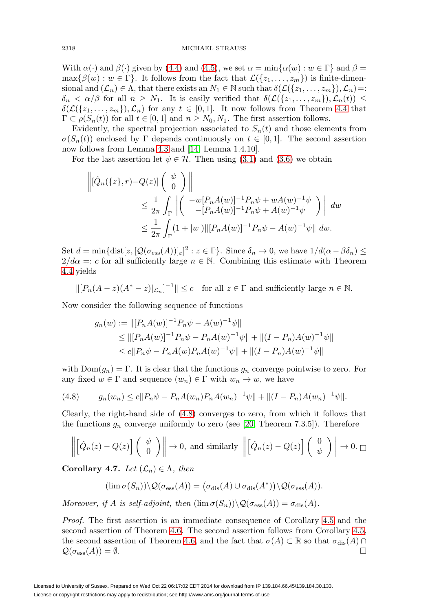With  $\alpha(\cdot)$  and  $\beta(\cdot)$  given by [\(4.4\)](#page-12-2) and [\(4.5\)](#page-12-3), we set  $\alpha = \min{\{\alpha(w) : w \in \Gamma\}}$  and  $\beta =$  $\max\{\beta(w): w \in \Gamma\}.$  It follows from the fact that  $\mathcal{L}(\{z_1,\ldots,z_m\})$  is finite-dimensional and  $(\mathcal{L}_n) \in \Lambda$ , that there exists an  $N_1 \in \mathbb{N}$  such that  $\delta(\mathcal{L}(\{z_1,\ldots,z_m\}),\mathcal{L}_n)=$ :  $\delta_n < \alpha/\beta$  for all  $n \geq N_1$ . It is easily verified that  $\delta(\mathcal{L}(\{z_1,\ldots,z_m\}),\mathcal{L}_n(t)) \leq$  $\delta(\mathcal{L}(\{z_1,\ldots,z_m\}),\mathcal{L}_n)$  for any  $t \in [0,1]$ . It now follows from Theorem [4.4](#page-12-1) that  $\Gamma \subset \rho(S_n(t))$  for all  $t \in [0,1]$  and  $n \geq N_0, N_1$ . The first assertion follows.

Evidently, the spectral projection associated to  $S_n(t)$  and those elements from  $\sigma(S_n(t))$  enclosed by Γ depends continuously on  $t \in [0,1]$ . The second assertion now follows from Lemma [4.3](#page-10-4) and [\[14,](#page-21-16) Lemma 1.4.10].

For the last assertion let  $\psi \in \mathcal{H}$ . Then using [\(3.1\)](#page-8-0) and [\(3.6\)](#page-10-5) we obtain

$$
\begin{aligned} \left\| [\hat{Q}_n(\{z\}, r) - Q(z)] \left( \begin{array}{c} \psi \\ 0 \end{array} \right) \right\| \\ &\leq \frac{1}{2\pi} \int_{\Gamma} \left\| \left( \begin{array}{c} -w[P_n A(w)]^{-1} P_n \psi + w A(w)^{-1} \psi \\ -[P_n A(w)]^{-1} P_n \psi + A(w)^{-1} \psi \end{array} \right) \right\| \ dw \\ &\leq \frac{1}{2\pi} \int_{\Gamma} (1 + |w|) \| [P_n A(w)]^{-1} P_n \psi - A(w)^{-1} \psi \| \ dw. \end{aligned}
$$

Set  $d = \min\{\text{dist}[z, [\mathcal{Q}(\sigma_{\text{ess}}(A))]_{\varepsilon}]^2 : z \in \Gamma\}$ . Since  $\delta_n \to 0$ , we have  $1/d(\alpha - \beta \delta_n) \leq$  $2/d\alpha = c$  for all sufficiently large  $n \in \mathbb{N}$ . Combining this estimate with Theorem [4.4](#page-12-1) yields

 $\|[P_n(A-z)(A^*-z)|_{\mathcal{L}_n}]^{-1}\| \leq c$  for all  $z \in \Gamma$  and sufficiently large  $n \in \mathbb{N}$ .

Now consider the following sequence of functions

$$
g_n(w) := ||[P_n A(w)]^{-1} P_n \psi - A(w)^{-1} \psi||
$$
  
\n
$$
\leq ||[P_n A(w)]^{-1} P_n \psi - P_n A(w)^{-1} \psi|| + ||(I - P_n) A(w)^{-1} \psi||
$$
  
\n
$$
\leq c ||P_n \psi - P_n A(w) P_n A(w)^{-1} \psi|| + ||(I - P_n) A(w)^{-1} \psi||
$$

with  $Dom(g_n) = \Gamma$ . It is clear that the functions  $g_n$  converge pointwise to zero. For any fixed  $w \in \Gamma$  and sequence  $(w_n) \in \Gamma$  with  $w_n \to w$ , we have

<span id="page-14-0"></span>
$$
(4.8) \t g_n(w_n) \le c \|P_n \psi - P_n A(w_n) P_n A(w_n)^{-1} \psi \| + \|(I - P_n) A(w_n)^{-1} \psi \|.
$$

Clearly, the right-hand side of [\(4.8\)](#page-14-0) converges to zero, from which it follows that the functions  $g_n$  converge uniformly to zero (see [\[20,](#page-21-19) Theorem 7.3.5]). Therefore

$$
\left\| \begin{bmatrix} \hat{Q}_n(z) - Q(z) \end{bmatrix} \begin{pmatrix} \psi \\ 0 \end{pmatrix} \right\| \to 0, \text{ and similarly } \left\| \begin{bmatrix} \hat{Q}_n(z) - Q(z) \end{bmatrix} \begin{pmatrix} 0 \\ \psi \end{pmatrix} \right\| \to 0. \Box
$$

**Corollary 4.7.** Let  $(\mathcal{L}_n) \in \Lambda$ , then

$$
(\lim \sigma(S_n)) \setminus \mathcal{Q}(\sigma_{\rm ess}(A)) = (\sigma_{\rm dis}(A) \cup \sigma_{\rm dis}(A^*)) \setminus \mathcal{Q}(\sigma_{\rm ess}(A)).
$$

Moreover, if A is self-adjoint, then  $(\lim \sigma(S_n))\setminus \mathcal{Q}(\sigma_{\text{ess}}(A)) = \sigma_{\text{dis}}(A)$ .

Proof. The first assertion is an immediate consequence of Corollary [4.5](#page-13-1) and the second assertion of Theorem [4.6.](#page-13-0) The second assertion follows from Corollary [4.5,](#page-13-1) the second assertion of Theorem [4.6,](#page-13-0) and the fact that  $\sigma(A) \subset \mathbb{R}$  so that  $\sigma_{dis}(A) \cap$  $\mathcal{Q}(\sigma_{\mathrm{ess}}(A)) = \emptyset.$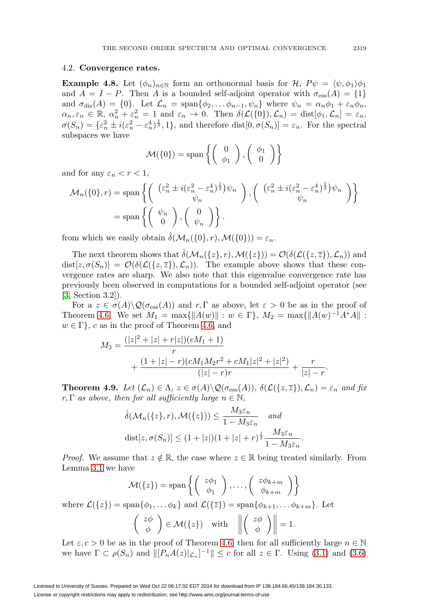#### 4.2. **Convergence rates.**

**Example 4.8.** Let  $(\phi_n)_{n\in\mathbb{N}}$  form an orthonormal basis for  $\mathcal{H}$ ,  $P\psi = \langle \psi, \phi_1 \rangle \phi_1$ and  $A = I - P$ . Then A is a bounded self-adjoint operator with  $\sigma_{\rm ess}(A) = \{1\}$ and  $\sigma_{dis}(A) = \{0\}$ . Let  $\mathcal{L}_n = \text{span}\{\phi_2, \dots \phi_{n-1}, \psi_n\}$  where  $\psi_n = \alpha_n \phi_1 + \varepsilon_n \phi_n$ ,  $\alpha_n, \varepsilon_n \in \mathbb{R}, \ \alpha_n^2 + \varepsilon_n^2 = 1 \ \text{and} \ \varepsilon_n \to 0. \ \text{Then} \ \delta(\mathcal{L}(\{0\}), \mathcal{L}_n) = \text{dist}[\phi_1, \mathcal{L}_n] = \varepsilon_n,$  $\sigma(S_n) = \{\varepsilon_n^2 \pm i(\varepsilon_n^2 - \varepsilon_n^4)^{\frac{1}{2}}, 1\},\$ and therefore dist $[0, \sigma(S_n)] = \varepsilon_n$ . For the spectral subspaces we have

$$
\mathcal{M}(\{0\}) = \text{span}\left\{ \left(\begin{array}{c} 0 \\ \phi_1 \end{array}\right), \left(\begin{array}{c} \phi_1 \\ 0 \end{array}\right) \right\}
$$

and for any  $\varepsilon_n < r < 1$ ,

$$
\mathcal{M}_n(\{0\}, r) = \text{span}\left\{ \begin{pmatrix} (\varepsilon_n^2 \pm i(\varepsilon_n^2 - \varepsilon_n^4)^{\frac{1}{2}}) \psi_n \\ \psi_n \\ \psi_n \end{pmatrix}, \begin{pmatrix} (\varepsilon_n^2 \pm i(\varepsilon_n^2 - \varepsilon_n^4)^{\frac{1}{2}}) \psi_n \\ \psi_n \\ \psi_n \end{pmatrix} \right\}
$$

$$
= \text{span}\left\{ \begin{pmatrix} \psi_n \\ 0 \end{pmatrix}, \begin{pmatrix} 0 \\ \psi_n \end{pmatrix} \right\}.
$$

from which we easily obtain  $\delta(M_n({0}, r), \mathcal{M}({0})) = \varepsilon_n$ .

The next theorem shows that  $\hat{\delta}(\mathcal{M}_n({z}, r), \mathcal{M}({z})) = \mathcal{O}(\delta(\mathcal{L}({z}, \overline{z}), \mathcal{L}_n))$  and  $dist[z, \sigma(S_n)] = \mathcal{O}(\delta(\mathcal{L}(\{z,\overline{z}\}), \mathcal{L}_n)).$  The example above shows that these convergence rates are sharp. We also note that this eigenvalue convergence rate has previously been observed in computations for a bounded self-adjoint operator (see [\[3,](#page-21-17) Section 3.2]).

For a  $z \in \sigma(A) \backslash \mathcal{Q}(\sigma_{\text{ess}}(A))$  and  $r, \Gamma$  as above, let  $\varepsilon > 0$  be as in the proof of Theorem [4.6.](#page-13-0) We set  $M_1 = \max\{||A(w)|| : w \in \Gamma\}, M_2 = \max\{||A(w)^{-1}A^*A|| : ... \}$  $w \in \Gamma$ , c as in the proof of Theorem [4.6,](#page-13-0) and

$$
M_3 = \frac{(|z|^2 + |z| + r|z|)(cM_1 + 1)}{r} + \frac{(1 + |z| - r)(cM_1M_2r^2 + cM_1|z|^2 + |z|^2)}{(|z| - r)r} + \frac{r}{|z| - r}.
$$

<span id="page-15-0"></span>**Theorem 4.9.** Let  $(\mathcal{L}_n) \in \Lambda$ ,  $z \in \sigma(A) \setminus \mathcal{Q}(\sigma_{\text{ess}}(A))$ ,  $\delta(\mathcal{L}(\{z,\overline{z}\}), \mathcal{L}_n) = \varepsilon_n$  and fix  $r, \Gamma$  as above, then for all sufficiently large  $n \in \mathbb{N}$ ,

$$
\hat{\delta}(\mathcal{M}_n(\{z\}, r), \mathcal{M}(\{z\})) \le \frac{M_3 \varepsilon_n}{1 - M_3 \varepsilon_n} \quad and
$$
  

$$
\text{dist}[z, \sigma(S_n)] \le (1 + |z|)(1 + |z| + r)^{\frac{1}{2}} \frac{M_3 \varepsilon_n}{1 - M_3 \varepsilon_n}
$$

*Proof.* We assume that  $z \notin \mathbb{R}$ , the case where  $z \in \mathbb{R}$  being treated similarly. From Lemma [3.1](#page-8-3) we have

.

$$
\mathcal{M}(\{z\}) = \text{span}\left\{ \begin{pmatrix} z\phi_1 \\ \phi_1 \end{pmatrix}, \dots, \begin{pmatrix} z\phi_{k+m} \\ \phi_{k+m} \end{pmatrix} \right\}
$$
  
where  $\mathcal{L}(\{z\}) = \text{span}\{\phi_1, \dots, \phi_k\}$  and  $\mathcal{L}(\{\overline{z}\}) = \text{span}\{\phi_{k+1}, \dots, \phi_{k+m}\}$ . Let  

$$
\begin{pmatrix} z\phi \\ \phi \end{pmatrix} \in \mathcal{M}(\{z\}) \quad \text{with} \quad \left\| \begin{pmatrix} z\phi \\ \phi \end{pmatrix} \right\| = 1.
$$

Let  $\varepsilon, c > 0$  be as in the proof of Theorem [4.6,](#page-13-0) then for all sufficiently large  $n \in \mathbb{N}$ we have  $\Gamma \subset \rho(S_n)$  and  $\| [P_n A(z)|_{\mathcal{L}_n}]^{-1} \| \leq c$  for all  $z \in \Gamma$ . Using [\(3.1\)](#page-8-0) and [\(3.6\)](#page-10-5)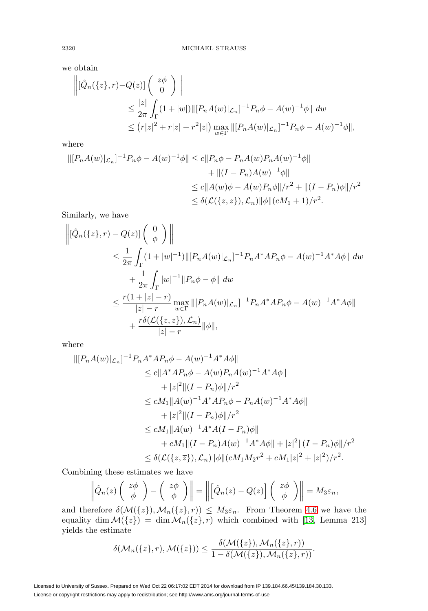we obtain

$$
\begin{aligned} \left\| [\hat{Q}_n(\{z\}, r) - Q(z)] \begin{pmatrix} z\phi \\ 0 \end{pmatrix} \right\| \\ &\leq \frac{|z|}{2\pi} \int_{\Gamma} (1+|w|) \|[P_n A(w)|_{\mathcal{L}_n}]^{-1} P_n \phi - A(w)^{-1} \phi \| \ dw \\ &\leq (r|z|^2 + r|z| + r^2|z|) \max_{w \in \Gamma} \|[P_n A(w)|_{\mathcal{L}_n}]^{-1} P_n \phi - A(w)^{-1} \phi \|, \end{aligned}
$$

where

$$
\begin{aligned} \|[P_n A(w)|_{\mathcal{L}_n}]^{-1} P_n \phi - A(w)^{-1} \phi \| &\leq c \|P_n \phi - P_n A(w) P_n A(w)^{-1} \phi \| \\ &\quad + \| (I - P_n) A(w)^{-1} \phi \| \\ &\leq c \|A(w) \phi - A(w) P_n \phi \| / r^2 + \| (I - P_n) \phi \| / r^2 \\ &\leq \delta(\mathcal{L}(\{z, \overline{z}\}), \mathcal{L}_n) \| \phi \| (cM_1 + 1) / r^2. \end{aligned}
$$

Similarly, we have

$$
\begin{aligned}\n\left\| [\hat{Q}_n(\{z\}, r) - Q(z)] \begin{pmatrix} 0 \\ \phi \end{pmatrix} \right\| \\
&\leq \frac{1}{2\pi} \int_{\Gamma} (1 + |w|^{-1}) \|[P_n A(w)|_{\mathcal{L}_n}]^{-1} P_n A^* A P_n \phi - A(w)^{-1} A^* A \phi\| \, dw \\
&+ \frac{1}{2\pi} \int_{\Gamma} |w|^{-1} \|P_n \phi - \phi\| \, dw \\
&\leq \frac{r(1 + |z| - r)}{|z| - r} \max_{w \in \Gamma} \|[P_n A(w)|_{\mathcal{L}_n}]^{-1} P_n A^* A P_n \phi - A(w)^{-1} A^* A \phi\| \\
&+ \frac{r \delta(\mathcal{L}(\{z, \overline{z}\}), \mathcal{L}_n)}{|z| - r} \|\phi\|,\n\end{aligned}
$$

where

$$
\begin{split} \|[P_nA(w)|_{\mathcal{L}_n}]^{-1}P_nA^*AP_n\phi - A(w)^{-1}A^*A\phi\| \\ &\leq c\|A^*AP_n\phi - A(w)P_nA(w)^{-1}A^*A\phi\| \\ &\quad + |z|^2\|(I - P_n)\phi\|/r^2 \\ &\leq cM_1\|A(w)^{-1}A^*AP_n\phi - P_nA(w)^{-1}A^*A\phi\| \\ &\quad + |z|^2\|(I - P_n)\phi\|/r^2 \\ &\leq cM_1\|A(w)^{-1}A^*A(I - P_n)\phi\| \\ &\quad + cM_1\|(I - P_n)A(w)^{-1}A^*A\phi\| + |z|^2\|(I - P_n)\phi\|/r^2 \\ &\leq \delta(\mathcal{L}(\{z,\overline{z}\}), \mathcal{L}_n)\|\phi\|(cM_1M_2r^2 + cM_1|z|^2 + |z|^2)/r^2. \end{split}
$$

Combining these estimates we have

$$
\left\|\hat{Q}_n(z)\left(\begin{array}{c}z\phi\\ \phi\end{array}\right)-\left(\begin{array}{c}z\phi\\ \phi\end{array}\right)\right\|=\left\|\left[\hat{Q}_n(z)-Q(z)\right]\left(\begin{array}{c}z\phi\\ \phi\end{array}\right)\right\|=M_3\varepsilon_n,
$$

and therefore  $\delta(M({z}), \mathcal{M}_n({z}, r)) \leq M_3 \varepsilon_n$ . From Theorem [4.6](#page-13-0) we have the equality dim  $\mathcal{M}(\{z\}) = \dim \mathcal{M}_n(\{z\}, r)$  which combined with [\[13,](#page-21-20) Lemma 213] yields the estimate

$$
\delta(\mathcal{M}_n(\{z\},r),\mathcal{M}(\{z\})) \leq \frac{\delta(\mathcal{M}(\{z\}),\mathcal{M}_n(\{z\},r))}{1-\delta(\mathcal{M}(\{z\}),\mathcal{M}_n(\{z\},r))}.
$$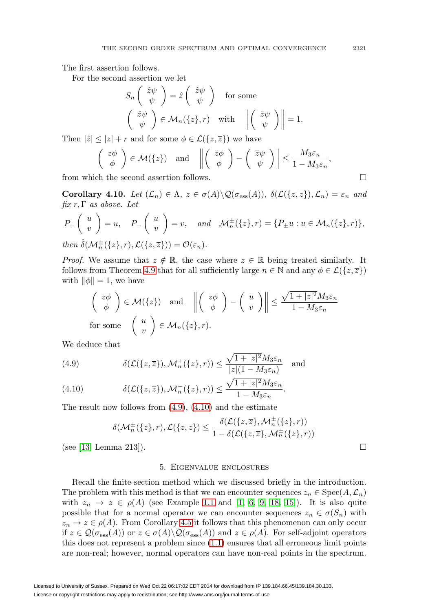The first assertion follows.

For the second assertion we let

$$
S_n\begin{pmatrix} \hat{z}\psi \\ \psi \end{pmatrix} = \hat{z}\begin{pmatrix} \hat{z}\psi \\ \psi \end{pmatrix} \text{ for some}
$$

$$
\begin{pmatrix} \hat{z}\psi \\ \psi \end{pmatrix} \in \mathcal{M}_n(\{z\}, r) \text{ with } \left\| \begin{pmatrix} \hat{z}\psi \\ \psi \end{pmatrix} \right\| = 1.
$$

Then  $|\hat{z}| \leq |z| + r$  and for some  $\phi \in \mathcal{L}(\{z,\overline{z}\})$  we have

$$
\begin{pmatrix} z\phi \\ \phi \end{pmatrix} \in \mathcal{M}(\{z\}) \quad \text{and} \quad \left\| \begin{pmatrix} z\phi \\ \phi \end{pmatrix} - \begin{pmatrix} \hat{z}\psi \\ \psi \end{pmatrix} \right\| \le \frac{M_3 \varepsilon_n}{1 - M_3 \varepsilon_n},
$$

from which the second assertion follows.  $\Box$ 

<span id="page-17-2"></span>**Corollary 4.10.** Let  $(\mathcal{L}_n) \in \Lambda$ ,  $z \in \sigma(A) \setminus \mathcal{Q}(\sigma_{\text{ess}}(A))$ ,  $\delta(\mathcal{L}(\{z,\overline{z}\}), \mathcal{L}_n) = \varepsilon_n$  and  $fix r, \Gamma$  as above. Let

$$
P_+\left(\begin{array}{c} u \\ v \end{array}\right) = u, \quad P_-\left(\begin{array}{c} u \\ v \end{array}\right) = v, \quad and \quad \mathcal{M}_n^\pm(\{z\}, r) = \{P_\pm u : u \in \mathcal{M}_n(\{z\}, r)\},
$$
  
then  $\hat{\delta}(\mathcal{M}_n^\pm(\{z\}, r), \mathcal{L}(\{z, \overline{z}\})) = \mathcal{O}(\varepsilon_n).$ 

*Proof.* We assume that  $z \notin \mathbb{R}$ , the case where  $z \in \mathbb{R}$  being treated similarly. It follows from Theorem [4.9](#page-15-0) that for all sufficiently large  $n \in \mathbb{N}$  and any  $\phi \in \mathcal{L}(\{z,\overline{z}\})$ with  $\|\phi\| = 1$ , we have

$$
\begin{pmatrix} z\phi \\ \phi \end{pmatrix} \in \mathcal{M}(\{z\}) \quad \text{and} \quad \left\| \begin{pmatrix} z\phi \\ \phi \end{pmatrix} - \begin{pmatrix} u \\ v \end{pmatrix} \right\| \le \frac{\sqrt{1+|z|^2} M_3 \varepsilon_n}{1 - M_3 \varepsilon_n}
$$
\nfor some  $\begin{pmatrix} u \\ v \end{pmatrix} \in \mathcal{M}_n(\{z\}, r).$ 

We deduce that

<span id="page-17-0"></span>(4.9) 
$$
\delta(\mathcal{L}(\{z,\overline{z}\}),\mathcal{M}_n^+(\{z\},r)) \leq \frac{\sqrt{1+|z|^2}M_3\varepsilon_n}{|z|(1-M_3\varepsilon_n)} \quad \text{and}
$$

<span id="page-17-1"></span>(4.10) 
$$
\delta(\mathcal{L}(\{z,\overline{z}\}),\mathcal{M}_n^{-}(\{z\},r)) \leq \frac{\sqrt{1+|z|^2}M_3\varepsilon_n}{1-M_3\varepsilon_n}.
$$

The result now follows from  $(4.9)$ ,  $(4.10)$  and the estimate

$$
\delta(\mathcal{M}_n^{\pm}(\{z\},r),\mathcal{L}(\{z,\overline{z}\}) \leq \frac{\delta(\mathcal{L}(\{z,\overline{z}\},\mathcal{M}_n^{\pm}(\{z\},r))}{1 - \delta(\mathcal{L}(\{z,\overline{z}\},\mathcal{M}_n^{\pm}(\{z\},r))}
$$

(see [\[13,](#page-21-20) Lemma 213]).

#### 5. Eigenvalue enclosures

Recall the finite-section method which we discussed briefly in the introduction. The problem with this method is that we can encounter sequences  $z_n \in \text{Spec}(A, \mathcal{L}_n)$ with  $z_n \to z \in \rho(A)$  (see Example [1.1](#page-2-0) and [\[1,](#page-21-3) [6,](#page-21-1) [9,](#page-21-5) [18,](#page-21-6) [15\]](#page-21-2)). It is also quite possible that for a normal operator we can encounter sequences  $z_n \in \sigma(S_n)$  with  $z_n \to z \in \rho(A)$ . From Corollary [4.5](#page-13-1) it follows that this phenomenon can only occur if  $z \in \mathcal{Q}(\sigma_{\text{ess}}(A))$  or  $\overline{z} \in \sigma(A) \setminus \mathcal{Q}(\sigma_{\text{ess}}(A))$  and  $z \in \rho(A)$ . For self-adjoint operators this does not represent a problem since [\(1.1\)](#page-2-4) ensures that all erroneous limit points are non-real; however, normal operators can have non-real points in the spectrum.

 $\Box$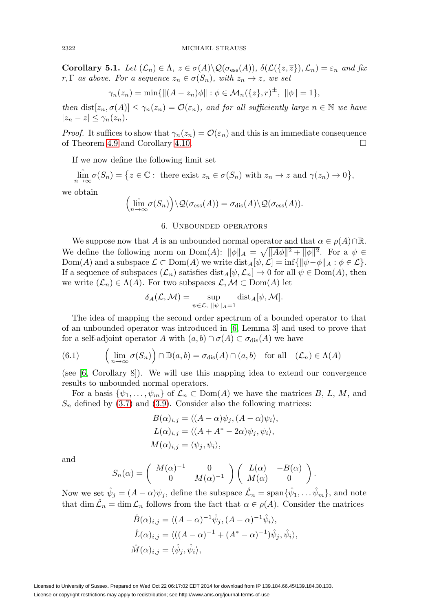**Corollary 5.1.** Let  $(\mathcal{L}_n) \in \Lambda$ ,  $z \in \sigma(A) \setminus \mathcal{Q}(\sigma_{\text{ess}}(A))$ ,  $\delta(\mathcal{L}(\{z,\overline{z}\}), \mathcal{L}_n) = \varepsilon_n$  and fix r, Γ as above. For a sequence  $z_n \in \sigma(S_n)$ , with  $z_n \to z$ , we set

$$
\gamma_n(z_n) = \min \{ ||(A - z_n)\phi|| : \phi \in \mathcal{M}_n(\{z\}, r)^{\pm}, ||\phi|| = 1 \},\
$$

then  $dist[z_n, \sigma(A)] \leq \gamma_n(z_n) = \mathcal{O}(\varepsilon_n)$ , and for all sufficiently large  $n \in \mathbb{N}$  we have  $|z_n - z| \leq \gamma_n(z_n).$ 

*Proof.* It suffices to show that  $\gamma_n(z_n) = \mathcal{O}(\varepsilon_n)$  and this is an immediate consequence of Theorem [4.9](#page-15-0) and Corollary [4.10.](#page-17-2)  $\Box$ 

If we now define the following limit set

$$
\lim_{n \to \infty} \sigma(S_n) = \{ z \in \mathbb{C} : \text{ there exist } z_n \in \sigma(S_n) \text{ with } z_n \to z \text{ and } \gamma(z_n) \to 0 \},
$$

we obtain

$$
\left(\lim_{n\to\infty}\sigma(S_n)\right)\setminus\mathcal{Q}(\sigma_{\rm ess}(A))=\sigma_{\rm dis}(A)\setminus\mathcal{Q}(\sigma_{\rm ess}(A)).
$$

#### 6. Unbounded operators

We suppose now that A is an unbounded normal operator and that  $\alpha \in \rho(A) \cap \mathbb{R}$ . We define the following norm on  $\text{Dom}(A): ||\phi||_A = \sqrt{||A\phi||^2 + ||\phi||^2}$ . For a  $\psi \in$ Dom(A) and a subspace  $\mathcal{L} \subset \text{Dom}(A)$  we write  $\text{dist}_A[\psi, \mathcal{L}] = \inf \{ ||\psi - \phi||_A : \phi \in \mathcal{L} \}.$ If a sequence of subspaces  $(\mathcal{L}_n)$  satisfies  $dist_A[\psi, \mathcal{L}_n] \to 0$  for all  $\psi \in \text{Dom}(A)$ , then we write  $(\mathcal{L}_n) \in \Lambda(A)$ . For two subspaces  $\mathcal{L}, \mathcal{M} \subset \mathrm{Dom}(A)$  let

$$
\delta_A(\mathcal{L}, \mathcal{M}) = \sup_{\psi \in \mathcal{L}, \ \|\psi\|_A = 1} \text{dist}_A[\psi, \mathcal{M}].
$$

The idea of mapping the second order spectrum of a bounded operator to that of an unbounded operator was introduced in [\[6,](#page-21-1) Lemma 3] and used to prove that for a self-adjoint operator A with  $(a, b) \cap \sigma(A) \subset \sigma_{\text{dis}}(A)$  we have

<span id="page-18-0"></span>(6.1) 
$$
\left(\lim_{n\to\infty}\sigma(S_n)\right)\cap\mathbb{D}(a,b)=\sigma_{\text{dis}}(A)\cap(a,b) \text{ for all } (\mathcal{L}_n)\in\Lambda(A)
$$

(see [\[6,](#page-21-1) Corollary 8]). We will use this mapping idea to extend our convergence results to unbounded normal operators.

For a basis  $\{\psi_1,\ldots,\psi_m\}$  of  $\mathcal{L}_n \subset \text{Dom}(A)$  we have the matrices B, L, M, and  $S_n$  defined by [\(3.7\)](#page-10-6) and [\(3.9\)](#page-10-7). Consider also the following matrices:

$$
B(\alpha)_{i,j} = \langle (A - \alpha)\psi_j, (A - \alpha)\psi_i \rangle,
$$
  
\n
$$
L(\alpha)_{i,j} = \langle (A + A^* - 2\alpha)\psi_j, \psi_i \rangle,
$$
  
\n
$$
M(\alpha)_{i,j} = \langle \psi_j, \psi_i \rangle,
$$

and

$$
S_n(\alpha) = \begin{pmatrix} M(\alpha)^{-1} & 0 \\ 0 & M(\alpha)^{-1} \end{pmatrix} \begin{pmatrix} L(\alpha) & -B(\alpha) \\ M(\alpha) & 0 \end{pmatrix}.
$$

Now we set  $\hat{\psi}_j = (A - \alpha)\psi_j$ , define the subspace  $\hat{\mathcal{L}}_n = \text{span}\{\hat{\psi}_1, \dots, \hat{\psi}_m\}$ , and note that dim  $\mathcal{L}_n = \dim \mathcal{L}_n$  follows from the fact that  $\alpha \in \rho(A)$ . Consider the matrices

$$
\hat{B}(\alpha)_{i,j} = \langle (A - \alpha)^{-1} \hat{\psi}_j, (A - \alpha)^{-1} \hat{\psi}_i \rangle,
$$
  
\n
$$
\hat{L}(\alpha)_{i,j} = \langle ((A - \alpha)^{-1} + (A^* - \alpha)^{-1}) \hat{\psi}_j, \hat{\psi}_i \rangle,
$$
  
\n
$$
\hat{M}(\alpha)_{i,j} = \langle \hat{\psi}_j, \hat{\psi}_i \rangle,
$$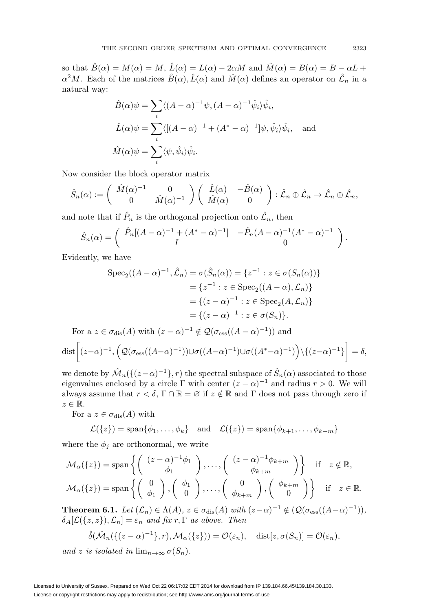so that  $\hat{B}(\alpha) = M(\alpha) = M$ ,  $\hat{L}(\alpha) = L(\alpha) - 2\alpha M$  and  $\hat{M}(\alpha) = B(\alpha) = B - \alpha L +$  $\alpha^2 M$ . Each of the matrices  $\hat{B}(\alpha)$ ,  $\hat{L}(\alpha)$  and  $\hat{M}(\alpha)$  defines an operator on  $\hat{\mathcal{L}}_n$  in a natural way:

$$
\hat{B}(\alpha)\psi = \sum_{i} \langle (A - \alpha)^{-1}\psi, (A - \alpha)^{-1}\hat{\psi}_i \rangle \hat{\psi}_i,
$$
  

$$
\hat{L}(\alpha)\psi = \sum_{i} \langle [(A - \alpha)^{-1} + (A^* - \alpha)^{-1}] \psi, \hat{\psi}_i \rangle \hat{\psi}_i, \text{ and}
$$
  

$$
\hat{M}(\alpha)\psi = \sum_{i} \langle \psi, \hat{\psi}_i \rangle \hat{\psi}_i.
$$

Now consider the block operator matrix

$$
\hat{S}_n(\alpha) := \begin{pmatrix} \hat{M}(\alpha)^{-1} & 0 \\ 0 & \hat{M}(\alpha)^{-1} \end{pmatrix} \begin{pmatrix} \hat{L}(\alpha) & -\hat{B}(\alpha) \\ \hat{M}(\alpha) & 0 \end{pmatrix} : \hat{\mathcal{L}}_n \oplus \hat{\mathcal{L}}_n \to \hat{\mathcal{L}}_n \oplus \hat{\mathcal{L}}_n,
$$

and note that if  $P_n$  is the orthogonal projection onto  $\mathcal{L}_n$ , then

$$
\hat{S}_n(\alpha) = \begin{pmatrix} \hat{P}_n[(A-\alpha)^{-1} + (A^*-\alpha)^{-1}] & -\hat{P}_n(A-\alpha)^{-1}(A^*-\alpha)^{-1} \\ I & 0 \end{pmatrix}.
$$

Evidently, we have

$$
\operatorname{Spec}_2((A - \alpha)^{-1}, \hat{\mathcal{L}}_n) = \sigma(\hat{S}_n(\alpha)) = \{z^{-1} : z \in \sigma(S_n(\alpha))\}
$$

$$
= \{z^{-1} : z \in \operatorname{Spec}_2((A - \alpha), \mathcal{L}_n)\}
$$

$$
= \{(z - \alpha)^{-1} : z \in \operatorname{Spec}_2(A, \mathcal{L}_n)\}
$$

$$
= \{(z - \alpha)^{-1} : z \in \sigma(S_n)\}.
$$
For a  $z \in \sigma_{\operatorname{dis}}(A)$  with  $(z - \alpha)^{-1} \notin \mathcal{Q}(\sigma_{\operatorname{ess}}((A - \alpha)^{-1}))$  and

$$
\text{dist}\bigg[ (z-\alpha)^{-1}, \left( \mathcal{Q}(\sigma_{\text{ess}}((A-\alpha)^{-1})) \cup \sigma((A-\alpha)^{-1}) \cup \sigma((A^*-\alpha)^{-1}) \right) \setminus \{ (z-\alpha)^{-1} \} \bigg] = \delta,
$$

we denote by  $\mathcal{M}_n(\{(z-\alpha)^{-1}\}, r)$  the spectral subspace of  $\hat{S}_n(\alpha)$  associated to those eigenvalues enclosed by a circle Γ with center  $(z - \alpha)^{-1}$  and radius  $r > 0$ . We will always assume that  $r < \delta$ ,  $\Gamma \cap \mathbb{R} = \emptyset$  if  $z \notin \mathbb{R}$  and  $\Gamma$  does not pass through zero if  $z \in \mathbb{R}$ .

For a  $z \in \sigma_{\text{dis}}(A)$  with

$$
\mathcal{L}(\{z\}) = \text{span}\{\phi_1, \dots, \phi_k\} \quad \text{and} \quad \mathcal{L}(\{\overline{z}\}) = \text{span}\{\phi_{k+1}, \dots, \phi_{k+m}\}\
$$

where the  $\phi_j$  are orthonormal, we write

$$
\mathcal{M}_{\alpha}(\{z\}) = \text{span}\left\{ \begin{pmatrix} (z-\alpha)^{-1}\phi_1 \\ \phi_1 \end{pmatrix}, \dots, \begin{pmatrix} (z-\alpha)^{-1}\phi_{k+m} \\ \phi_{k+m} \end{pmatrix} \right\} \text{ if } z \notin \mathbb{R},
$$
  

$$
\mathcal{M}_{\alpha}(\{z\}) = \text{span}\left\{ \begin{pmatrix} 0 \\ \phi_1 \end{pmatrix}, \begin{pmatrix} \phi_1 \\ 0 \end{pmatrix}, \dots, \begin{pmatrix} 0 \\ \phi_{k+m} \end{pmatrix}, \begin{pmatrix} \phi_{k+m} \\ 0 \end{pmatrix} \right\} \text{ if } z \in \mathbb{R}.
$$

**Theorem 6.1.** Let  $(\mathcal{L}_n) \in \Lambda(A)$ ,  $z \in \sigma_{\text{dis}}(A)$  with  $(z-\alpha)^{-1} \notin (\mathcal{Q}(\sigma_{\text{ess}}((A-\alpha)^{-1})),$  $\delta_A[\mathcal{L}(\{z,\overline{z}\}),\mathcal{L}_n]=\varepsilon_n$  and fix r,  $\Gamma$  as above. Then

$$
\hat{\delta}(\hat{\mathcal{M}}_n(\{(z-\alpha)^{-1}\},r),\mathcal{M}_\alpha(\{z\}))=\mathcal{O}(\varepsilon_n),\quad \text{dist}[z,\sigma(S_n)]=\mathcal{O}(\varepsilon_n),
$$

and z is isolated in  $\lim_{n\to\infty} \sigma(S_n)$ .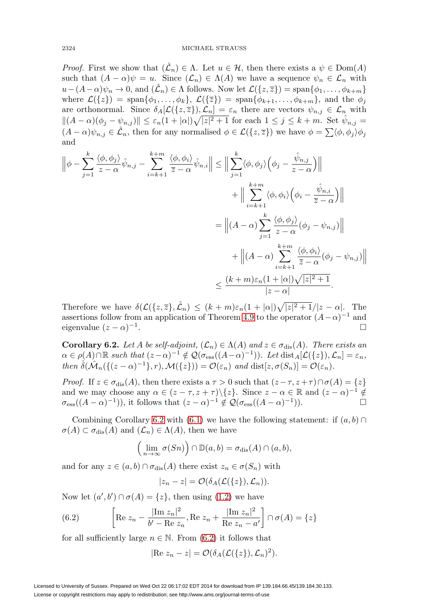*Proof.* First we show that  $(\hat{\mathcal{L}}_n) \in \Lambda$ . Let  $u \in \mathcal{H}$ , then there exists a  $\psi \in \text{Dom}(A)$ such that  $(A - \alpha)\psi = u$ . Since  $(\mathcal{L}_n) \in \Lambda(A)$  we have a sequence  $\psi_n \in \mathcal{L}_n$  with  $u-(A-\alpha)\psi_n\to 0$ , and  $(\hat{\mathcal{L}}_n)\in \Lambda$  follows. Now let  $\mathcal{L}(\{z,\overline{z}\})=\text{span}\{\phi_1,\ldots,\phi_{k+m}\}\$ where  $\mathcal{L}(\{z\}) = \text{span}\{\phi_1,\ldots,\phi_k\},\ \mathcal{L}(\{\overline{z}\}) = \text{span}\{\phi_{k+1},\ldots,\phi_{k+m}\},\$ and the  $\phi_j$ are orthonormal. Since  $\delta_A[\mathcal{L}(\{z,\overline{z}\}),\mathcal{L}_n]=\varepsilon_n$  there are vectors  $\psi_{n,j}\in\mathcal{L}_n$  with  $||(A - \alpha)(\phi_j - \psi_{n,j})|| \leq \varepsilon_n(1+|\alpha|)\sqrt{|z|^2+1}$  for each  $1 \leq j \leq k+m$ . Set  $\hat{\psi}_{n,j}$  $(A - \alpha)\psi_{n,j} \in \hat{\mathcal{L}}_n$ , then for any normalised  $\phi \in \mathcal{L}(\{z,\overline{z}\})$  we have  $\phi = \sum \langle \phi, \phi_j \rangle \phi_j$ and

$$
\left\| \phi - \sum_{j=1}^{k} \frac{\langle \phi, \phi_j \rangle}{z - \alpha} \hat{\psi}_{n,j} - \sum_{i=k+1}^{k+m} \frac{\langle \phi, \phi_i \rangle}{\overline{z} - \alpha} \hat{\psi}_{n,i} \right\| \leq \left\| \sum_{j=1}^{k} \langle \phi, \phi_j \rangle \left( \phi_j - \frac{\hat{\psi}_{n,j}}{z - \alpha} \right) \right\| + \left\| \sum_{i=k+1}^{k+m} \langle \phi, \phi_i \rangle \left( \phi_i - \frac{\hat{\psi}_{n,i}}{\overline{z} - \alpha} \right) \right\| = \left\| (A - \alpha) \sum_{j=1}^{k} \frac{\langle \phi, \phi_j \rangle}{z - \alpha} (\phi_j - \psi_{n,j}) \right\| + \left\| (A - \alpha) \sum_{i=k+1}^{k+m} \frac{\langle \phi, \phi_i \rangle}{\overline{z} - \alpha} (\phi_j - \psi_{n,j}) \right\| \leq \frac{(k+m)\varepsilon_n(1+|\alpha|)\sqrt{|z|^2+1}}{|z - \alpha|}.
$$

Therefore we have  $\delta(\mathcal{L}(\{z,\overline{z}\},\hat{\mathcal{L}}_n) \le (k+m)\varepsilon_n(1+|\alpha|)\sqrt{|z|^2+1}/|z-\alpha|$ . The assertions follow from an application of Theorem [4.9](#page-15-0) to the operator  $(A-\alpha)^{-1}$  and eigenvalue  $(z - \alpha)^{-1}$ .  $\Box$ 

<span id="page-20-0"></span>**Corollary 6.2.** Let A be self-adjoint,  $(\mathcal{L}_n) \in \Lambda(A)$  and  $z \in \sigma_{\text{dis}}(A)$ . There exists an  $\alpha \in \rho(A) \cap \mathbb{R}$  such that  $(z-\alpha)^{-1} \notin \mathcal{Q}(\sigma_{\text{ess}}((A-\alpha)^{-1}))$ . Let  $\text{dist}_A[\mathcal{L}(\{z\}), \mathcal{L}_n] = \varepsilon_n$ , then  $\hat{\delta}(\hat{\mathcal{M}}_n(\{(z-\alpha)^{-1}\},r),\mathcal{M}(\{z\}))=\mathcal{O}(\varepsilon_n)$  and  $dist[z,\sigma(S_n)]=\mathcal{O}(\varepsilon_n)$ .

*Proof.* If  $z \in \sigma_{dis}(A)$ , then there exists a  $\tau > 0$  such that  $(z - \tau, z + \tau) \cap \sigma(A) = \{z\}$ and we may choose any  $\alpha \in (z - \tau, z + \tau) \setminus \{z\}$ . Since  $z - \alpha \in \mathbb{R}$  and  $(z - \alpha)^{-1} \notin$  $\sigma_{\rm ess}((A-\alpha)^{-1})$ ), it follows that  $(z-\alpha)^{-1} \notin \mathcal{Q}(\sigma_{\rm ess}((A-\alpha)^{-1}))$ .

Combining Corollary [6.2](#page-20-0) with [\(6.1\)](#page-18-0) we have the following statement: if  $(a, b)$  $\sigma(A) \subset \sigma_{\text{dis}}(A)$  and  $(\mathcal{L}_n) \in \Lambda(A)$ , then we have

$$
\Big(\lim_{n\to\infty}\sigma(Sn)\Big)\cap\mathbb{D}(a,b)=\sigma_{\text{dis}}(A)\cap(a,b),
$$

and for any  $z \in (a, b) \cap \sigma_{\text{dis}}(A)$  there exist  $z_n \in \sigma(S_n)$  with

$$
|z_n-z|=\mathcal{O}(\delta_A(\mathcal{L}(\{z\}),\mathcal{L}_n)).
$$

Now let  $(a', b') \cap \sigma(A) = \{z\}$ , then using  $(1.2)$  we have

<span id="page-20-1"></span>(6.2) 
$$
\left[ \text{Re } z_n - \frac{|\text{Im } z_n|^2}{b' - \text{Re } z_n}, \text{Re } z_n + \frac{|\text{Im } z_n|^2}{\text{Re } z_n - a'} \right] \cap \sigma(A) = \{ z \}
$$

for all sufficiently large  $n \in \mathbb{N}$ . From [\(6.2\)](#page-20-1) it follows that

$$
|\text{Re } z_n - z| = \mathcal{O}(\delta_A(\mathcal{L}(\{z\}), \mathcal{L}_n)^2).
$$